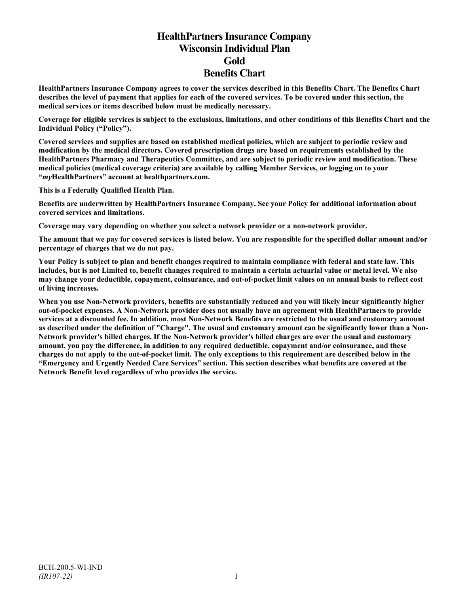# **HealthPartners Insurance Company Wisconsin Individual Plan Gold Benefits Chart**

**HealthPartners Insurance Company agrees to cover the services described in this Benefits Chart. The Benefits Chart describes the level of payment that applies for each of the covered services. To be covered under this section, the medical services or items described below must be medically necessary.**

**Coverage for eligible services is subject to the exclusions, limitations, and other conditions of this Benefits Chart and the Individual Policy ("Policy").**

**Covered services and supplies are based on established medical policies, which are subject to periodic review and modification by the medical directors. Covered prescription drugs are based on requirements established by the HealthPartners Pharmacy and Therapeutics Committee, and are subject to periodic review and modification. These medical policies (medical coverage criteria) are available by calling Member Services, or logging on to your "***my***HealthPartners" account at [healthpartners.com.](http://www.healthpartners.com/)**

**This is a Federally Qualified Health Plan.**

**Benefits are underwritten by HealthPartners Insurance Company. See your Policy for additional information about covered services and limitations.**

**Coverage may vary depending on whether you select a network provider or a non-network provider.**

**The amount that we pay for covered services is listed below. You are responsible for the specified dollar amount and/or percentage of charges that we do not pay.**

**Your Policy is subject to plan and benefit changes required to maintain compliance with federal and state law. This includes, but is not Limited to, benefit changes required to maintain a certain actuarial value or metal level. We also may change your deductible, copayment, coinsurance, and out-of-pocket limit values on an annual basis to reflect cost of living increases.**

**When you use Non-Network providers, benefits are substantially reduced and you will likely incur significantly higher out-of-pocket expenses. A Non-Network provider does not usually have an agreement with HealthPartners to provide services at a discounted fee. In addition, most Non-Network Benefits are restricted to the usual and customary amount as described under the definition of "Charge". The usual and customary amount can be significantly lower than a Non-Network provider's billed charges. If the Non-Network provider's billed charges are over the usual and customary amount, you pay the difference, in addition to any required deductible, copayment and/or coinsurance, and these charges do not apply to the out-of-pocket limit. The only exceptions to this requirement are described below in the "Emergency and Urgently Needed Care Services" section. This section describes what benefits are covered at the Network Benefit level regardless of who provides the service.**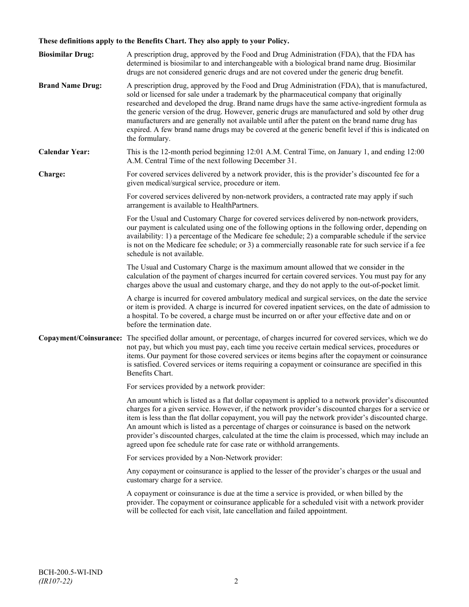# **These definitions apply to the Benefits Chart. They also apply to your Policy.**

| <b>Biosimilar Drug:</b> | A prescription drug, approved by the Food and Drug Administration (FDA), that the FDA has<br>determined is biosimilar to and interchangeable with a biological brand name drug. Biosimilar<br>drugs are not considered generic drugs and are not covered under the generic drug benefit.                                                                                                                                                                                                                                                                                                                                     |
|-------------------------|------------------------------------------------------------------------------------------------------------------------------------------------------------------------------------------------------------------------------------------------------------------------------------------------------------------------------------------------------------------------------------------------------------------------------------------------------------------------------------------------------------------------------------------------------------------------------------------------------------------------------|
| <b>Brand Name Drug:</b> | A prescription drug, approved by the Food and Drug Administration (FDA), that is manufactured,<br>sold or licensed for sale under a trademark by the pharmaceutical company that originally<br>researched and developed the drug. Brand name drugs have the same active-ingredient formula as<br>the generic version of the drug. However, generic drugs are manufactured and sold by other drug<br>manufacturers and are generally not available until after the patent on the brand name drug has<br>expired. A few brand name drugs may be covered at the generic benefit level if this is indicated on<br>the formulary. |
| <b>Calendar Year:</b>   | This is the 12-month period beginning 12:01 A.M. Central Time, on January 1, and ending 12:00<br>A.M. Central Time of the next following December 31.                                                                                                                                                                                                                                                                                                                                                                                                                                                                        |
| Charge:                 | For covered services delivered by a network provider, this is the provider's discounted fee for a<br>given medical/surgical service, procedure or item.                                                                                                                                                                                                                                                                                                                                                                                                                                                                      |
|                         | For covered services delivered by non-network providers, a contracted rate may apply if such<br>arrangement is available to HealthPartners.                                                                                                                                                                                                                                                                                                                                                                                                                                                                                  |
|                         | For the Usual and Customary Charge for covered services delivered by non-network providers,<br>our payment is calculated using one of the following options in the following order, depending on<br>availability: 1) a percentage of the Medicare fee schedule; 2) a comparable schedule if the service<br>is not on the Medicare fee schedule; or 3) a commercially reasonable rate for such service if a fee<br>schedule is not available.                                                                                                                                                                                 |
|                         | The Usual and Customary Charge is the maximum amount allowed that we consider in the<br>calculation of the payment of charges incurred for certain covered services. You must pay for any<br>charges above the usual and customary charge, and they do not apply to the out-of-pocket limit.                                                                                                                                                                                                                                                                                                                                 |
|                         | A charge is incurred for covered ambulatory medical and surgical services, on the date the service<br>or item is provided. A charge is incurred for covered inpatient services, on the date of admission to<br>a hospital. To be covered, a charge must be incurred on or after your effective date and on or<br>before the termination date.                                                                                                                                                                                                                                                                                |
|                         | Copayment/Coinsurance: The specified dollar amount, or percentage, of charges incurred for covered services, which we do<br>not pay, but which you must pay, each time you receive certain medical services, procedures or<br>items. Our payment for those covered services or items begins after the copayment or coinsurance<br>is satisfied. Covered services or items requiring a copayment or coinsurance are specified in this<br>Benefits Chart.                                                                                                                                                                      |
|                         | For services provided by a network provider:                                                                                                                                                                                                                                                                                                                                                                                                                                                                                                                                                                                 |
|                         | An amount which is listed as a flat dollar copayment is applied to a network provider's discounted<br>charges for a given service. However, if the network provider's discounted charges for a service or<br>item is less than the flat dollar copayment, you will pay the network provider's discounted charge.<br>An amount which is listed as a percentage of charges or coinsurance is based on the network<br>provider's discounted charges, calculated at the time the claim is processed, which may include an<br>agreed upon fee schedule rate for case rate or withhold arrangements.                               |
|                         | For services provided by a Non-Network provider:                                                                                                                                                                                                                                                                                                                                                                                                                                                                                                                                                                             |
|                         | Any copayment or coinsurance is applied to the lesser of the provider's charges or the usual and<br>customary charge for a service.                                                                                                                                                                                                                                                                                                                                                                                                                                                                                          |
|                         | A copayment or coinsurance is due at the time a service is provided, or when billed by the<br>provider. The copayment or coinsurance applicable for a scheduled visit with a network provider<br>will be collected for each visit, late cancellation and failed appointment.                                                                                                                                                                                                                                                                                                                                                 |
|                         |                                                                                                                                                                                                                                                                                                                                                                                                                                                                                                                                                                                                                              |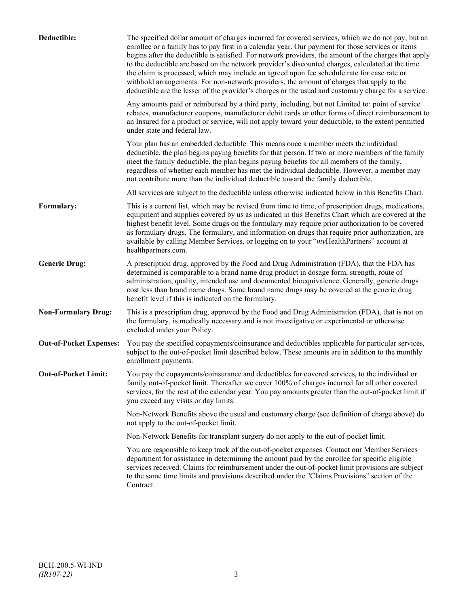| Deductible:                    | The specified dollar amount of charges incurred for covered services, which we do not pay, but an<br>enrollee or a family has to pay first in a calendar year. Our payment for those services or items<br>begins after the deductible is satisfied. For network providers, the amount of the charges that apply<br>to the deductible are based on the network provider's discounted charges, calculated at the time<br>the claim is processed, which may include an agreed upon fee schedule rate for case rate or<br>withhold arrangements. For non-network providers, the amount of charges that apply to the<br>deductible are the lesser of the provider's charges or the usual and customary charge for a service. |
|--------------------------------|-------------------------------------------------------------------------------------------------------------------------------------------------------------------------------------------------------------------------------------------------------------------------------------------------------------------------------------------------------------------------------------------------------------------------------------------------------------------------------------------------------------------------------------------------------------------------------------------------------------------------------------------------------------------------------------------------------------------------|
|                                | Any amounts paid or reimbursed by a third party, including, but not Limited to: point of service<br>rebates, manufacturer coupons, manufacturer debit cards or other forms of direct reimbursement to<br>an Insured for a product or service, will not apply toward your deductible, to the extent permitted<br>under state and federal law.                                                                                                                                                                                                                                                                                                                                                                            |
|                                | Your plan has an embedded deductible. This means once a member meets the individual<br>deductible, the plan begins paying benefits for that person. If two or more members of the family<br>meet the family deductible, the plan begins paying benefits for all members of the family,<br>regardless of whether each member has met the individual deductible. However, a member may<br>not contribute more than the individual deductible toward the family deductible.                                                                                                                                                                                                                                                |
|                                | All services are subject to the deductible unless otherwise indicated below in this Benefits Chart.                                                                                                                                                                                                                                                                                                                                                                                                                                                                                                                                                                                                                     |
| Formulary:                     | This is a current list, which may be revised from time to time, of prescription drugs, medications,<br>equipment and supplies covered by us as indicated in this Benefits Chart which are covered at the<br>highest benefit level. Some drugs on the formulary may require prior authorization to be covered<br>as formulary drugs. The formulary, and information on drugs that require prior authorization, are<br>available by calling Member Services, or logging on to your "myHealthPartners" account at<br>healthpartners.com.                                                                                                                                                                                   |
| <b>Generic Drug:</b>           | A prescription drug, approved by the Food and Drug Administration (FDA), that the FDA has<br>determined is comparable to a brand name drug product in dosage form, strength, route of<br>administration, quality, intended use and documented bioequivalence. Generally, generic drugs<br>cost less than brand name drugs. Some brand name drugs may be covered at the generic drug<br>benefit level if this is indicated on the formulary.                                                                                                                                                                                                                                                                             |
| <b>Non-Formulary Drug:</b>     | This is a prescription drug, approved by the Food and Drug Administration (FDA), that is not on<br>the formulary, is medically necessary and is not investigative or experimental or otherwise<br>excluded under your Policy.                                                                                                                                                                                                                                                                                                                                                                                                                                                                                           |
| <b>Out-of-Pocket Expenses:</b> | You pay the specified copayments/coinsurance and deductibles applicable for particular services,<br>subject to the out-of-pocket limit described below. These amounts are in addition to the monthly<br>enrollment payments.                                                                                                                                                                                                                                                                                                                                                                                                                                                                                            |
| <b>Out-of-Pocket Limit:</b>    | You pay the copayments/coinsurance and deductibles for covered services, to the individual or<br>family out-of-pocket limit. Thereafter we cover 100% of charges incurred for all other covered<br>services, for the rest of the calendar year. You pay amounts greater than the out-of-pocket limit if<br>you exceed any visits or day limits.                                                                                                                                                                                                                                                                                                                                                                         |
|                                | Non-Network Benefits above the usual and customary charge (see definition of charge above) do<br>not apply to the out-of-pocket limit.                                                                                                                                                                                                                                                                                                                                                                                                                                                                                                                                                                                  |
|                                | Non-Network Benefits for transplant surgery do not apply to the out-of-pocket limit.                                                                                                                                                                                                                                                                                                                                                                                                                                                                                                                                                                                                                                    |
|                                | You are responsible to keep track of the out-of-pocket expenses. Contact our Member Services<br>department for assistance in determining the amount paid by the enrollee for specific eligible<br>services received. Claims for reimbursement under the out-of-pocket limit provisions are subject<br>to the same time limits and provisions described under the "Claims Provisions" section of the<br>Contract.                                                                                                                                                                                                                                                                                                        |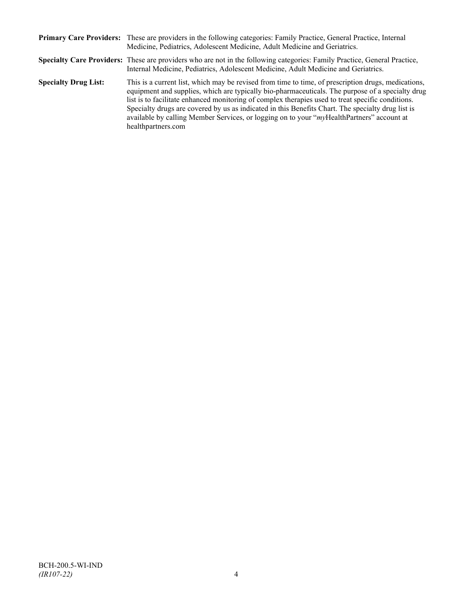|                             | Primary Care Providers: These are providers in the following categories: Family Practice, General Practice, Internal<br>Medicine, Pediatrics, Adolescent Medicine, Adult Medicine and Geriatrics.                                                                                                                                                                                                                                                                                                                                    |
|-----------------------------|--------------------------------------------------------------------------------------------------------------------------------------------------------------------------------------------------------------------------------------------------------------------------------------------------------------------------------------------------------------------------------------------------------------------------------------------------------------------------------------------------------------------------------------|
|                             | Specialty Care Providers: These are providers who are not in the following categories: Family Practice, General Practice,<br>Internal Medicine, Pediatrics, Adolescent Medicine, Adult Medicine and Geriatrics.                                                                                                                                                                                                                                                                                                                      |
| <b>Specialty Drug List:</b> | This is a current list, which may be revised from time to time, of prescription drugs, medications,<br>equipment and supplies, which are typically bio-pharmaceuticals. The purpose of a specialty drug<br>list is to facilitate enhanced monitoring of complex therapies used to treat specific conditions.<br>Specialty drugs are covered by us as indicated in this Benefits Chart. The specialty drug list is<br>available by calling Member Services, or logging on to your "myHealthPartners" account at<br>healthpartners.com |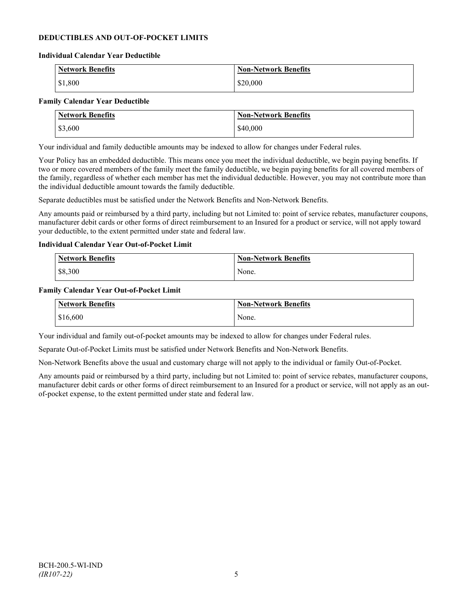## **DEDUCTIBLES AND OUT-OF-POCKET LIMITS**

#### **Individual Calendar Year Deductible**

| <b>Network Benefits</b> | <b>Non-Network Benefits</b> |
|-------------------------|-----------------------------|
| \$1,800                 | \$20,000                    |

#### **Family Calendar Year Deductible**

| <b>Network Benefits</b> | <b>Non-Network Benefits</b> |
|-------------------------|-----------------------------|
| \$3,600                 | \$40,000                    |

Your individual and family deductible amounts may be indexed to allow for changes under Federal rules.

Your Policy has an embedded deductible. This means once you meet the individual deductible, we begin paying benefits. If two or more covered members of the family meet the family deductible, we begin paying benefits for all covered members of the family, regardless of whether each member has met the individual deductible. However, you may not contribute more than the individual deductible amount towards the family deductible.

Separate deductibles must be satisfied under the Network Benefits and Non-Network Benefits.

Any amounts paid or reimbursed by a third party, including but not Limited to: point of service rebates, manufacturer coupons, manufacturer debit cards or other forms of direct reimbursement to an Insured for a product or service, will not apply toward your deductible, to the extent permitted under state and federal law.

#### **Individual Calendar Year Out-of-Pocket Limit**

| <b>Network Benefits</b> | <b>Non-Network Benefits</b> |
|-------------------------|-----------------------------|
| \$8,300                 | None.                       |

#### **Family Calendar Year Out-of-Pocket Limit**

| Network Benefits | <b>Non-Network Benefits</b> |
|------------------|-----------------------------|
| \$16,600         | None.                       |

Your individual and family out-of-pocket amounts may be indexed to allow for changes under Federal rules.

Separate Out-of-Pocket Limits must be satisfied under Network Benefits and Non-Network Benefits.

Non-Network Benefits above the usual and customary charge will not apply to the individual or family Out-of-Pocket.

Any amounts paid or reimbursed by a third party, including but not Limited to: point of service rebates, manufacturer coupons, manufacturer debit cards or other forms of direct reimbursement to an Insured for a product or service, will not apply as an outof-pocket expense, to the extent permitted under state and federal law.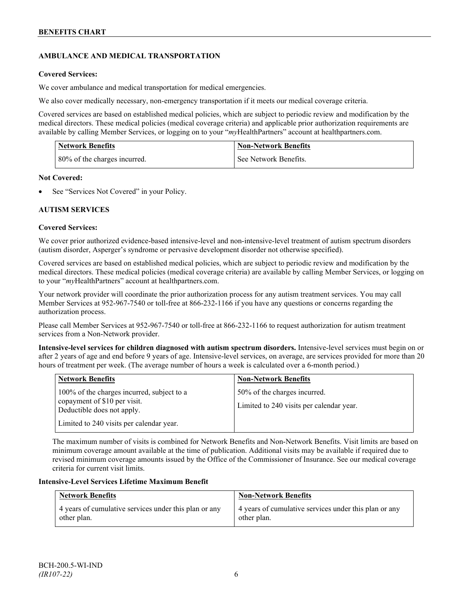# **AMBULANCE AND MEDICAL TRANSPORTATION**

## **Covered Services:**

We cover ambulance and medical transportation for medical emergencies.

We also cover medically necessary, non-emergency transportation if it meets our medical coverage criteria.

Covered services are based on established medical policies, which are subject to periodic review and modification by the medical directors. These medical policies (medical coverage criteria) and applicable prior authorization requirements are available by calling Member Services, or logging on to your "*my*HealthPartners" account a[t healthpartners.com.](http://www.healthpartners.com/)

| <b>Network Benefits</b>      | <b>Non-Network Benefits</b> |
|------------------------------|-----------------------------|
| 80% of the charges incurred. | l See Network Benefits.     |

## **Not Covered:**

See "Services Not Covered" in your Policy.

## **AUTISM SERVICES**

## **Covered Services:**

We cover prior authorized evidence-based intensive-level and non-intensive-level treatment of autism spectrum disorders (autism disorder, Asperger's syndrome or pervasive development disorder not otherwise specified).

Covered services are based on established medical policies, which are subject to periodic review and modification by the medical directors. These medical policies (medical coverage criteria) are available by calling Member Services, or logging on to your "*my*HealthPartners" account at [healthpartners.com.](http://www.healthpartners.com/)

Your network provider will coordinate the prior authorization process for any autism treatment services. You may call Member Services at 952-967-7540 or toll-free at 866-232-1166 if you have any questions or concerns regarding the authorization process.

Please call Member Services at 952-967-7540 or toll-free at 866-232-1166 to request authorization for autism treatment services from a Non-Network provider.

**Intensive-level services for children diagnosed with autism spectrum disorders.** Intensive-level services must begin on or after 2 years of age and end before 9 years of age. Intensive-level services, on average, are services provided for more than 20 hours of treatment per week. (The average number of hours a week is calculated over a 6-month period.)

| <b>Network Benefits</b>                                                                                  | <b>Non-Network Benefits</b>                                              |
|----------------------------------------------------------------------------------------------------------|--------------------------------------------------------------------------|
| 100% of the charges incurred, subject to a<br>copayment of \$10 per visit.<br>Deductible does not apply. | 50% of the charges incurred.<br>Limited to 240 visits per calendar year. |
| Limited to 240 visits per calendar year.                                                                 |                                                                          |

The maximum number of visits is combined for Network Benefits and Non-Network Benefits. Visit limits are based on minimum coverage amount available at the time of publication. Additional visits may be available if required due to revised minimum coverage amounts issued by the Office of the Commissioner of Insurance. See our medical coverage criteria for current visit limits.

## **Intensive-Level Services Lifetime Maximum Benefit**

| <b>Network Benefits</b>                               | <b>Non-Network Benefits</b>                           |
|-------------------------------------------------------|-------------------------------------------------------|
| 4 years of cumulative services under this plan or any | 4 years of cumulative services under this plan or any |
| other plan.                                           | other plan.                                           |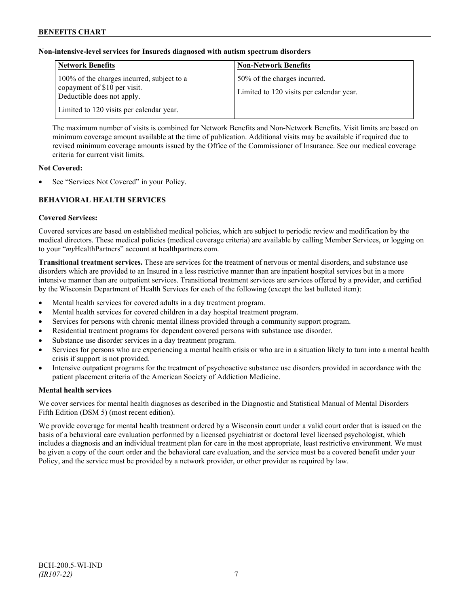# **Non-intensive-level services for Insureds diagnosed with autism spectrum disorders**

| <b>Network Benefits</b>                                                                                  | <b>Non-Network Benefits</b>                                              |
|----------------------------------------------------------------------------------------------------------|--------------------------------------------------------------------------|
| 100% of the charges incurred, subject to a<br>copayment of \$10 per visit.<br>Deductible does not apply. | 50% of the charges incurred.<br>Limited to 120 visits per calendar year. |
| Limited to 120 visits per calendar year.                                                                 |                                                                          |

The maximum number of visits is combined for Network Benefits and Non-Network Benefits. Visit limits are based on minimum coverage amount available at the time of publication. Additional visits may be available if required due to revised minimum coverage amounts issued by the Office of the Commissioner of Insurance. See our medical coverage criteria for current visit limits.

## **Not Covered:**

See "Services Not Covered" in your Policy.

# **BEHAVIORAL HEALTH SERVICES**

#### **Covered Services:**

Covered services are based on established medical policies, which are subject to periodic review and modification by the medical directors. These medical policies (medical coverage criteria) are available by calling Member Services, or logging on to your "*my*HealthPartners" account at [healthpartners.com.](http://www.healthpartners.com/)

**Transitional treatment services.** These are services for the treatment of nervous or mental disorders, and substance use disorders which are provided to an Insured in a less restrictive manner than are inpatient hospital services but in a more intensive manner than are outpatient services. Transitional treatment services are services offered by a provider, and certified by the Wisconsin Department of Health Services for each of the following (except the last bulleted item):

- Mental health services for covered adults in a day treatment program.
- Mental health services for covered children in a day hospital treatment program.
- Services for persons with chronic mental illness provided through a community support program.
- Residential treatment programs for dependent covered persons with substance use disorder.
- Substance use disorder services in a day treatment program.
- Services for persons who are experiencing a mental health crisis or who are in a situation likely to turn into a mental health crisis if support is not provided.
- Intensive outpatient programs for the treatment of psychoactive substance use disorders provided in accordance with the patient placement criteria of the American Society of Addiction Medicine.

## **Mental health services**

We cover services for mental health diagnoses as described in the Diagnostic and Statistical Manual of Mental Disorders – Fifth Edition (DSM 5) (most recent edition).

We provide coverage for mental health treatment ordered by a Wisconsin court under a valid court order that is issued on the basis of a behavioral care evaluation performed by a licensed psychiatrist or doctoral level licensed psychologist, which includes a diagnosis and an individual treatment plan for care in the most appropriate, least restrictive environment. We must be given a copy of the court order and the behavioral care evaluation, and the service must be a covered benefit under your Policy, and the service must be provided by a network provider, or other provider as required by law.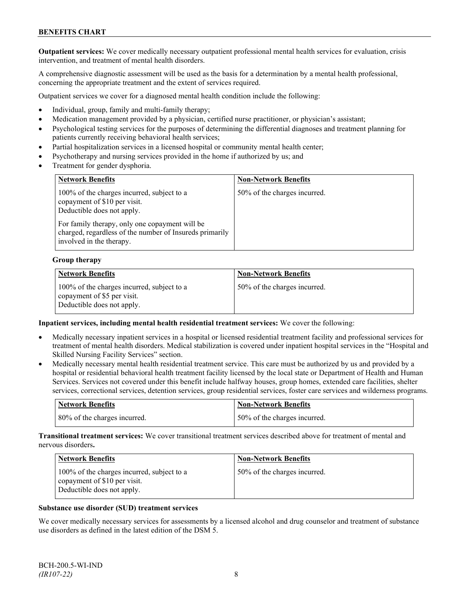**Outpatient services:** We cover medically necessary outpatient professional mental health services for evaluation, crisis intervention, and treatment of mental health disorders.

A comprehensive diagnostic assessment will be used as the basis for a determination by a mental health professional, concerning the appropriate treatment and the extent of services required.

Outpatient services we cover for a diagnosed mental health condition include the following:

- Individual, group, family and multi-family therapy;
- Medication management provided by a physician, certified nurse practitioner, or physician's assistant;
- Psychological testing services for the purposes of determining the differential diagnoses and treatment planning for patients currently receiving behavioral health services;
- Partial hospitalization services in a licensed hospital or community mental health center;
- Psychotherapy and nursing services provided in the home if authorized by us; and
- Treatment for gender dysphoria.

| <b>Network Benefits</b>                                                                                                                                                                                                                           | <b>Non-Network Benefits</b>  |
|---------------------------------------------------------------------------------------------------------------------------------------------------------------------------------------------------------------------------------------------------|------------------------------|
| 100% of the charges incurred, subject to a<br>copayment of \$10 per visit.<br>Deductible does not apply.<br>For family therapy, only one copayment will be<br>charged, regardless of the number of Insureds primarily<br>involved in the therapy. | 50% of the charges incurred. |

#### **Group therapy**

| <b>Network Benefits</b>                                                                                 | <b>Non-Network Benefits</b>  |
|---------------------------------------------------------------------------------------------------------|------------------------------|
| 100% of the charges incurred, subject to a<br>copayment of \$5 per visit.<br>Deductible does not apply. | 50% of the charges incurred. |

#### **Inpatient services, including mental health residential treatment services:** We cover the following:

- Medically necessary inpatient services in a hospital or licensed residential treatment facility and professional services for treatment of mental health disorders. Medical stabilization is covered under inpatient hospital services in the "Hospital and Skilled Nursing Facility Services" section.
- Medically necessary mental health residential treatment service. This care must be authorized by us and provided by a hospital or residential behavioral health treatment facility licensed by the local state or Department of Health and Human Services. Services not covered under this benefit include halfway houses, group homes, extended care facilities, shelter services, correctional services, detention services, group residential services, foster care services and wilderness programs.

| <b>Network Benefits</b>      | <b>Non-Network Benefits</b>  |
|------------------------------|------------------------------|
| 80% of the charges incurred. | 50% of the charges incurred. |

**Transitional treatment services:** We cover transitional treatment services described above for treatment of mental and nervous disorders**.**

| <b>Network Benefits</b>                                                                                  | <b>Non-Network Benefits</b>  |
|----------------------------------------------------------------------------------------------------------|------------------------------|
| 100% of the charges incurred, subject to a<br>copayment of \$10 per visit.<br>Deductible does not apply. | 50% of the charges incurred. |

#### **Substance use disorder (SUD) treatment services**

We cover medically necessary services for assessments by a licensed alcohol and drug counselor and treatment of substance use disorders as defined in the latest edition of the DSM 5.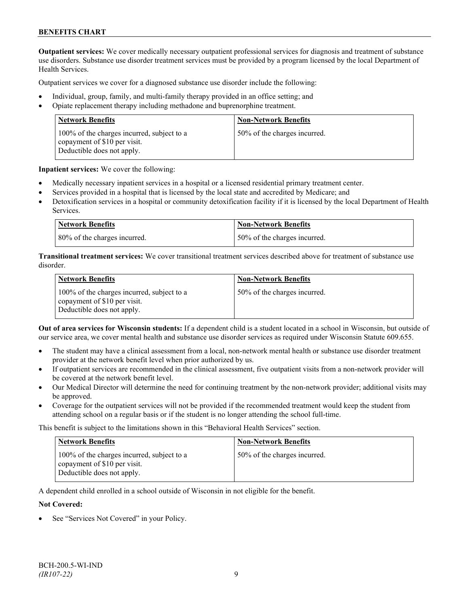**Outpatient services:** We cover medically necessary outpatient professional services for diagnosis and treatment of substance use disorders. Substance use disorder treatment services must be provided by a program licensed by the local Department of Health Services.

Outpatient services we cover for a diagnosed substance use disorder include the following:

- Individual, group, family, and multi-family therapy provided in an office setting; and
- Opiate replacement therapy including methadone and buprenorphine treatment.

| <b>Network Benefits</b>                                                                                  | <b>Non-Network Benefits</b>  |
|----------------------------------------------------------------------------------------------------------|------------------------------|
| 100% of the charges incurred, subject to a<br>copayment of \$10 per visit.<br>Deductible does not apply. | 50% of the charges incurred. |

**Inpatient services:** We cover the following:

- Medically necessary inpatient services in a hospital or a licensed residential primary treatment center.
- Services provided in a hospital that is licensed by the local state and accredited by Medicare; and
- Detoxification services in a hospital or community detoxification facility if it is licensed by the local Department of Health Services.

| <b>Network Benefits</b>      | <b>Non-Network Benefits</b>  |
|------------------------------|------------------------------|
| 80% of the charges incurred. | 50% of the charges incurred. |

**Transitional treatment services:** We cover transitional treatment services described above for treatment of substance use disorder.

| <b>Network Benefits</b>                                                                                  | <b>Non-Network Benefits</b>  |
|----------------------------------------------------------------------------------------------------------|------------------------------|
| 100% of the charges incurred, subject to a<br>copayment of \$10 per visit.<br>Deductible does not apply. | 50% of the charges incurred. |

**Out of area services for Wisconsin students:** If a dependent child is a student located in a school in Wisconsin, but outside of our service area, we cover mental health and substance use disorder services as required under Wisconsin Statute 609.655.

- The student may have a clinical assessment from a local, non-network mental health or substance use disorder treatment provider at the network benefit level when prior authorized by us.
- If outpatient services are recommended in the clinical assessment, five outpatient visits from a non-network provider will be covered at the network benefit level.
- Our Medical Director will determine the need for continuing treatment by the non-network provider; additional visits may be approved.
- Coverage for the outpatient services will not be provided if the recommended treatment would keep the student from attending school on a regular basis or if the student is no longer attending the school full-time.

This benefit is subject to the limitations shown in this "Behavioral Health Services" section.

| <b>Network Benefits</b>                                                                                  | <b>Non-Network Benefits</b>  |
|----------------------------------------------------------------------------------------------------------|------------------------------|
| 100% of the charges incurred, subject to a<br>copayment of \$10 per visit.<br>Deductible does not apply. | 50% of the charges incurred. |

A dependent child enrolled in a school outside of Wisconsin in not eligible for the benefit.

#### **Not Covered:**

See "Services Not Covered" in your Policy.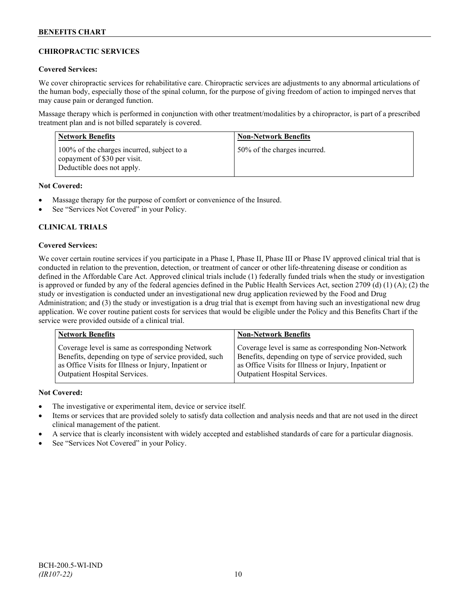# **CHIROPRACTIC SERVICES**

## **Covered Services:**

We cover chiropractic services for rehabilitative care. Chiropractic services are adjustments to any abnormal articulations of the human body, especially those of the spinal column, for the purpose of giving freedom of action to impinged nerves that may cause pain or deranged function.

Massage therapy which is performed in conjunction with other treatment/modalities by a chiropractor, is part of a prescribed treatment plan and is not billed separately is covered.

| <b>Network Benefits</b>                                                                                  | <b>Non-Network Benefits</b>  |
|----------------------------------------------------------------------------------------------------------|------------------------------|
| 100% of the charges incurred, subject to a<br>copayment of \$30 per visit.<br>Deductible does not apply. | 50% of the charges incurred. |

# **Not Covered:**

- Massage therapy for the purpose of comfort or convenience of the Insured.
- See "Services Not Covered" in your Policy.

# **CLINICAL TRIALS**

## **Covered Services:**

We cover certain routine services if you participate in a Phase I, Phase II, Phase III or Phase IV approved clinical trial that is conducted in relation to the prevention, detection, or treatment of cancer or other life-threatening disease or condition as defined in the Affordable Care Act. Approved clinical trials include (1) federally funded trials when the study or investigation is approved or funded by any of the federal agencies defined in the Public Health Services Act, section 2709 (d) (1) (A); (2) the study or investigation is conducted under an investigational new drug application reviewed by the Food and Drug Administration; and (3) the study or investigation is a drug trial that is exempt from having such an investigational new drug application. We cover routine patient costs for services that would be eligible under the Policy and this Benefits Chart if the service were provided outside of a clinical trial.

| <b>Network Benefits</b>                               | <b>Non-Network Benefits</b>                           |
|-------------------------------------------------------|-------------------------------------------------------|
| Coverage level is same as corresponding Network       | Coverage level is same as corresponding Non-Network   |
| Benefits, depending on type of service provided, such | Benefits, depending on type of service provided, such |
| as Office Visits for Illness or Injury, Inpatient or  | as Office Visits for Illness or Injury, Inpatient or  |
| Outpatient Hospital Services.                         | Outpatient Hospital Services.                         |

## **Not Covered:**

- The investigative or experimental item, device or service itself.
- Items or services that are provided solely to satisfy data collection and analysis needs and that are not used in the direct clinical management of the patient.
- A service that is clearly inconsistent with widely accepted and established standards of care for a particular diagnosis.
- See "Services Not Covered" in your Policy.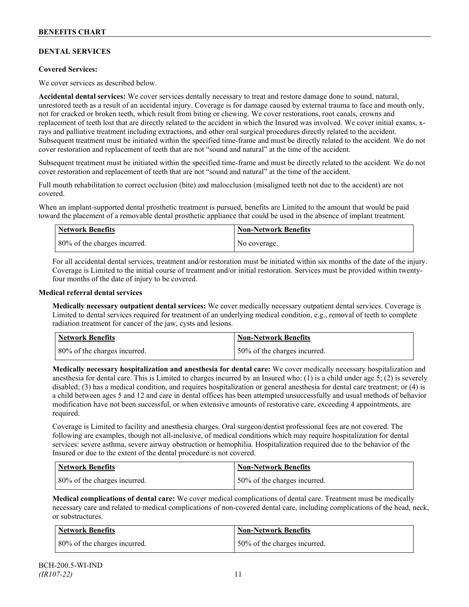# **DENTAL SERVICES**

## **Covered Services:**

We cover services as described below.

**Accidental dental services:** We cover services dentally necessary to treat and restore damage done to sound, natural, unrestored teeth as a result of an accidental injury. Coverage is for damage caused by external trauma to face and mouth only, not for cracked or broken teeth, which result from biting or chewing. We cover restorations, root canals, crowns and replacement of teeth lost that are directly related to the accident in which the Insured was involved. We cover initial exams, xrays and palliative treatment including extractions, and other oral surgical procedures directly related to the accident. Subsequent treatment must be initiated within the specified time-frame and must be directly related to the accident. We do not cover restoration and replacement of teeth that are not "sound and natural" at the time of the accident.

Subsequent treatment must be initiated within the specified time-frame and must be directly related to the accident. We do not cover restoration and replacement of teeth that are not "sound and natural" at the time of the accident.

Full mouth rehabilitation to correct occlusion (bite) and malocclusion (misaligned teeth not due to the accident) are not covered.

When an implant-supported dental prosthetic treatment is pursued, benefits are Limited to the amount that would be paid toward the placement of a removable dental prosthetic appliance that could be used in the absence of implant treatment.

| <b>Network Benefits</b>      | <b>Non-Network Benefits</b> |
|------------------------------|-----------------------------|
| 80% of the charges incurred. | No coverage.                |

For all accidental dental services, treatment and/or restoration must be initiated within six months of the date of the injury. Coverage is Limited to the initial course of treatment and/or initial restoration. Services must be provided within twentyfour months of the date of injury to be covered.

#### **Medical referral dental services**

**Medically necessary outpatient dental services:** We cover medically necessary outpatient dental services. Coverage is Limited to dental services required for treatment of an underlying medical condition, e.g., removal of teeth to complete radiation treatment for cancer of the jaw, cysts and lesions.

| Network Benefits             | <b>Non-Network Benefits</b>  |
|------------------------------|------------------------------|
| 80% of the charges incurred. | 50% of the charges incurred. |

**Medically necessary hospitalization and anesthesia for dental care:** We cover medically necessary hospitalization and anesthesia for dental care. This is Limited to charges incurred by an Insured who: (1) is a child under age 5; (2) is severely disabled; (3) has a medical condition, and requires hospitalization or general anesthesia for dental care treatment; or (4) is a child between ages 5 and 12 and care in dental offices has been attempted unsuccessfully and usual methods of behavior modification have not been successful, or when extensive amounts of restorative care, exceeding 4 appointments, are required.

Coverage is Limited to facility and anesthesia charges. Oral surgeon/dentist professional fees are not covered. The following are examples, though not all-inclusive, of medical conditions which may require hospitalization for dental services: severe asthma, severe airway obstruction or hemophilia. Hospitalization required due to the behavior of the Insured or due to the extent of the dental procedure is not covered.

| <b>Network Benefits</b>      | <b>Non-Network Benefits</b>  |
|------------------------------|------------------------------|
| 80% of the charges incurred. | 50% of the charges incurred. |

**Medical complications of dental care:** We cover medical complications of dental care. Treatment must be medically necessary care and related to medical complications of non-covered dental care, including complications of the head, neck, or substructures.

| Network Benefits             | Non-Network Benefits         |
|------------------------------|------------------------------|
| 80% of the charges incurred. | 50% of the charges incurred. |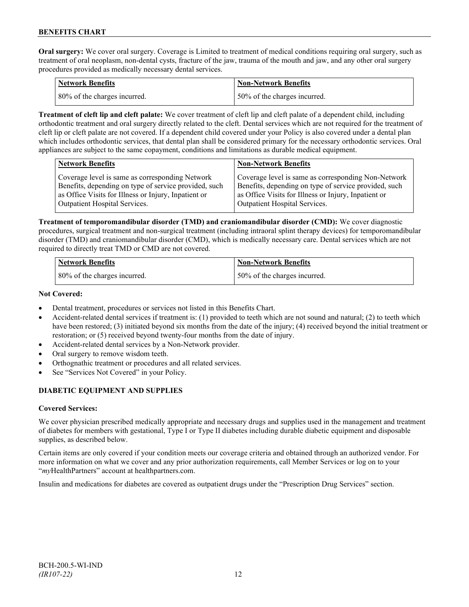**Oral surgery:** We cover oral surgery. Coverage is Limited to treatment of medical conditions requiring oral surgery, such as treatment of oral neoplasm, non-dental cysts, fracture of the jaw, trauma of the mouth and jaw, and any other oral surgery procedures provided as medically necessary dental services.

| <b>Network Benefits</b>      | <b>Non-Network Benefits</b>  |
|------------------------------|------------------------------|
| 80% of the charges incurred. | 50% of the charges incurred. |

**Treatment of cleft lip and cleft palate:** We cover treatment of cleft lip and cleft palate of a dependent child, including orthodontic treatment and oral surgery directly related to the cleft. Dental services which are not required for the treatment of cleft lip or cleft palate are not covered. If a dependent child covered under your Policy is also covered under a dental plan which includes orthodontic services, that dental plan shall be considered primary for the necessary orthodontic services. Oral appliances are subject to the same copayment, conditions and limitations as durable medical equipment.

| <b>Network Benefits</b>                               | <b>Non-Network Benefits</b>                           |
|-------------------------------------------------------|-------------------------------------------------------|
| Coverage level is same as corresponding Network       | Coverage level is same as corresponding Non-Network   |
| Benefits, depending on type of service provided, such | Benefits, depending on type of service provided, such |
| as Office Visits for Illness or Injury, Inpatient or  | as Office Visits for Illness or Injury, Inpatient or  |
| Outpatient Hospital Services.                         | Outpatient Hospital Services.                         |

**Treatment of temporomandibular disorder (TMD) and craniomandibular disorder (CMD):** We cover diagnostic procedures, surgical treatment and non-surgical treatment (including intraoral splint therapy devices) for temporomandibular disorder (TMD) and craniomandibular disorder (CMD), which is medically necessary care. Dental services which are not required to directly treat TMD or CMD are not covered.

| <b>Network Benefits</b>      | Non-Network Benefits         |
|------------------------------|------------------------------|
| 80% of the charges incurred. | 50% of the charges incurred. |

## **Not Covered:**

- Dental treatment, procedures or services not listed in this Benefits Chart.
- Accident-related dental services if treatment is: (1) provided to teeth which are not sound and natural; (2) to teeth which have been restored; (3) initiated beyond six months from the date of the injury; (4) received beyond the initial treatment or restoration; or (5) received beyond twenty-four months from the date of injury.
- Accident-related dental services by a Non-Network provider.
- Oral surgery to remove wisdom teeth.
- Orthognathic treatment or procedures and all related services.
- See "Services Not Covered" in your Policy.

# **DIABETIC EQUIPMENT AND SUPPLIES**

## **Covered Services:**

We cover physician prescribed medically appropriate and necessary drugs and supplies used in the management and treatment of diabetes for members with gestational, Type I or Type II diabetes including durable diabetic equipment and disposable supplies, as described below.

Certain items are only covered if your condition meets our coverage criteria and obtained through an authorized vendor. For more information on what we cover and any prior authorization requirements, call Member Services or log on to your "*my*HealthPartners" account at [healthpartners.com.](http://www.healthpartners.com/)

Insulin and medications for diabetes are covered as outpatient drugs under the "Prescription Drug Services" section.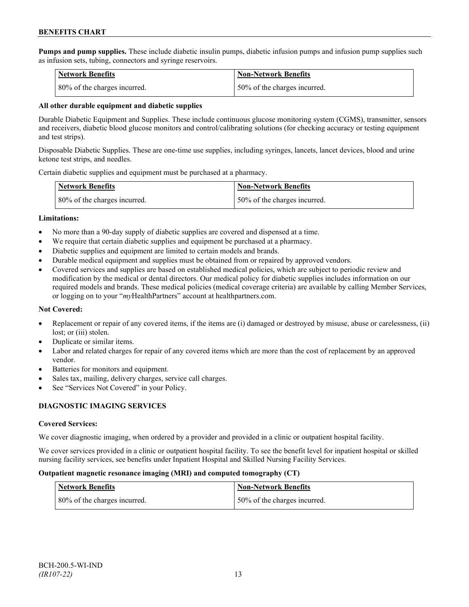**Pumps and pump supplies.** These include diabetic insulin pumps, diabetic infusion pumps and infusion pump supplies such as infusion sets, tubing, connectors and syringe reservoirs.

| <b>Network Benefits</b>      | <b>Non-Network Benefits</b>  |
|------------------------------|------------------------------|
| 80% of the charges incurred. | 50% of the charges incurred. |

## **All other durable equipment and diabetic supplies**

Durable Diabetic Equipment and Supplies. These include continuous glucose monitoring system (CGMS), transmitter, sensors and receivers, diabetic blood glucose monitors and control/calibrating solutions (for checking accuracy or testing equipment and test strips).

Disposable Diabetic Supplies. These are one-time use supplies, including syringes, lancets, lancet devices, blood and urine ketone test strips, and needles.

Certain diabetic supplies and equipment must be purchased at a pharmacy.

| <b>Network Benefits</b>      | <b>Non-Network Benefits</b>  |
|------------------------------|------------------------------|
| 80% of the charges incurred. | 50% of the charges incurred. |

#### **Limitations:**

- No more than a 90-day supply of diabetic supplies are covered and dispensed at a time.
- We require that certain diabetic supplies and equipment be purchased at a pharmacy.
- Diabetic supplies and equipment are limited to certain models and brands.
- Durable medical equipment and supplies must be obtained from or repaired by approved vendors.
- Covered services and supplies are based on established medical policies, which are subject to periodic review and modification by the medical or dental directors. Our medical policy for diabetic supplies includes information on our required models and brands. These medical policies (medical coverage criteria) are available by calling Member Services, or logging on to your "*my*HealthPartners" account at healthpartners.com.

## **Not Covered:**

- Replacement or repair of any covered items, if the items are (i) damaged or destroyed by misuse, abuse or carelessness, (ii) lost; or (iii) stolen.
- Duplicate or similar items.
- Labor and related charges for repair of any covered items which are more than the cost of replacement by an approved vendor.
- Batteries for monitors and equipment.
- Sales tax, mailing, delivery charges, service call charges.
- See "Services Not Covered" in your Policy.

## **DIAGNOSTIC IMAGING SERVICES**

## **Covered Services:**

We cover diagnostic imaging, when ordered by a provider and provided in a clinic or outpatient hospital facility.

We cover services provided in a clinic or outpatient hospital facility. To see the benefit level for inpatient hospital or skilled nursing facility services, see benefits under Inpatient Hospital and Skilled Nursing Facility Services.

#### **Outpatient magnetic resonance imaging (MRI) and computed tomography (CT)**

| Network Benefits             | <b>Non-Network Benefits</b>  |
|------------------------------|------------------------------|
| 80% of the charges incurred. | 50% of the charges incurred. |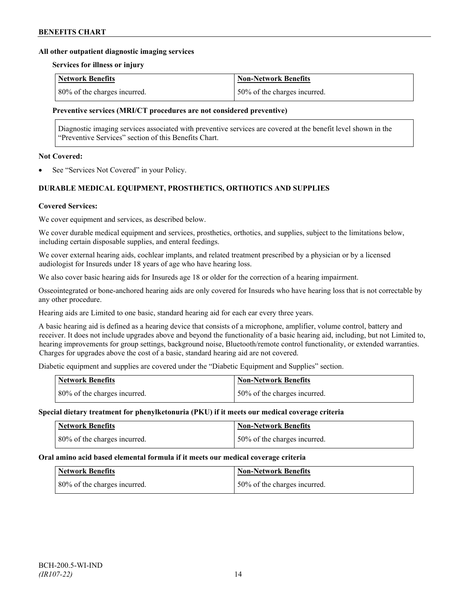#### **All other outpatient diagnostic imaging services**

#### **Services for illness or injury**

| <b>Network Benefits</b>      | Non-Network Benefits          |
|------------------------------|-------------------------------|
| 80% of the charges incurred. | 150% of the charges incurred. |

#### **Preventive services (MRI/CT procedures are not considered preventive)**

Diagnostic imaging services associated with preventive services are covered at the benefit level shown in the "Preventive Services" section of this Benefits Chart.

#### **Not Covered:**

See "Services Not Covered" in your Policy.

# **DURABLE MEDICAL EQUIPMENT, PROSTHETICS, ORTHOTICS AND SUPPLIES**

#### **Covered Services:**

We cover equipment and services, as described below.

We cover durable medical equipment and services, prosthetics, orthotics, and supplies, subject to the limitations below, including certain disposable supplies, and enteral feedings.

We cover external hearing aids, cochlear implants, and related treatment prescribed by a physician or by a licensed audiologist for Insureds under 18 years of age who have hearing loss.

We also cover basic hearing aids for Insureds age 18 or older for the correction of a hearing impairment.

Osseointegrated or bone-anchored hearing aids are only covered for Insureds who have hearing loss that is not correctable by any other procedure.

Hearing aids are Limited to one basic, standard hearing aid for each ear every three years.

A basic hearing aid is defined as a hearing device that consists of a microphone, amplifier, volume control, battery and receiver. It does not include upgrades above and beyond the functionality of a basic hearing aid, including, but not Limited to, hearing improvements for group settings, background noise, Bluetooth/remote control functionality, or extended warranties. Charges for upgrades above the cost of a basic, standard hearing aid are not covered.

Diabetic equipment and supplies are covered under the "Diabetic Equipment and Supplies" section.

| <b>Network Benefits</b>      | Non-Network Benefits         |
|------------------------------|------------------------------|
| 80% of the charges incurred. | 50% of the charges incurred. |

#### **Special dietary treatment for phenylketonuria (PKU) if it meets our medical coverage criteria**

| <b>Network Benefits</b>      | <b>Non-Network Benefits</b>  |
|------------------------------|------------------------------|
| 80% of the charges incurred. | 50% of the charges incurred. |

#### **Oral amino acid based elemental formula if it meets our medical coverage criteria**

| Network Benefits             | <b>Non-Network Benefits</b>  |
|------------------------------|------------------------------|
| 80% of the charges incurred. | 50% of the charges incurred. |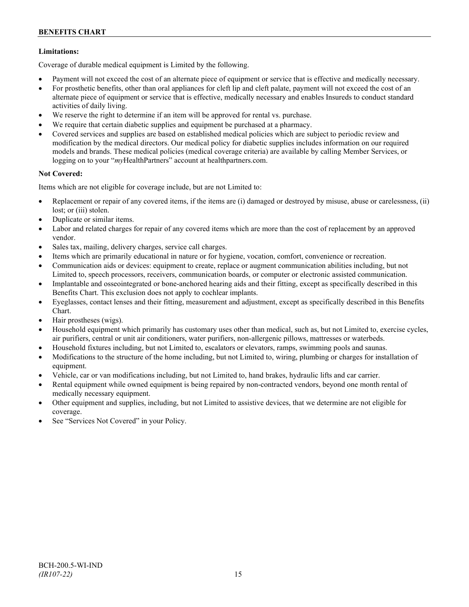## **Limitations:**

Coverage of durable medical equipment is Limited by the following.

- Payment will not exceed the cost of an alternate piece of equipment or service that is effective and medically necessary.
- For prosthetic benefits, other than oral appliances for cleft lip and cleft palate, payment will not exceed the cost of an alternate piece of equipment or service that is effective, medically necessary and enables Insureds to conduct standard activities of daily living.
- We reserve the right to determine if an item will be approved for rental vs. purchase.
- We require that certain diabetic supplies and equipment be purchased at a pharmacy.
- Covered services and supplies are based on established medical policies which are subject to periodic review and modification by the medical directors. Our medical policy for diabetic supplies includes information on our required models and brands. These medical policies (medical coverage criteria) are available by calling Member Services, or logging on to your "*my*HealthPartners" account at [healthpartners.com.](http://www.healthpartners.com/)

## **Not Covered:**

Items which are not eligible for coverage include, but are not Limited to:

- Replacement or repair of any covered items, if the items are (i) damaged or destroyed by misuse, abuse or carelessness, (ii) lost; or (iii) stolen.
- Duplicate or similar items.
- Labor and related charges for repair of any covered items which are more than the cost of replacement by an approved vendor.
- Sales tax, mailing, delivery charges, service call charges.
- Items which are primarily educational in nature or for hygiene, vocation, comfort, convenience or recreation.
- Communication aids or devices: equipment to create, replace or augment communication abilities including, but not Limited to, speech processors, receivers, communication boards, or computer or electronic assisted communication.
- Implantable and osseointegrated or bone-anchored hearing aids and their fitting, except as specifically described in this Benefits Chart. This exclusion does not apply to cochlear implants.
- Eyeglasses, contact lenses and their fitting, measurement and adjustment, except as specifically described in this Benefits Chart.
- Hair prostheses (wigs).
- Household equipment which primarily has customary uses other than medical, such as, but not Limited to, exercise cycles, air purifiers, central or unit air conditioners, water purifiers, non-allergenic pillows, mattresses or waterbeds.
- Household fixtures including, but not Limited to, escalators or elevators, ramps, swimming pools and saunas.
- Modifications to the structure of the home including, but not Limited to, wiring, plumbing or charges for installation of equipment.
- Vehicle, car or van modifications including, but not Limited to, hand brakes, hydraulic lifts and car carrier.
- Rental equipment while owned equipment is being repaired by non-contracted vendors, beyond one month rental of medically necessary equipment.
- Other equipment and supplies, including, but not Limited to assistive devices, that we determine are not eligible for coverage.
- See "Services Not Covered" in your Policy.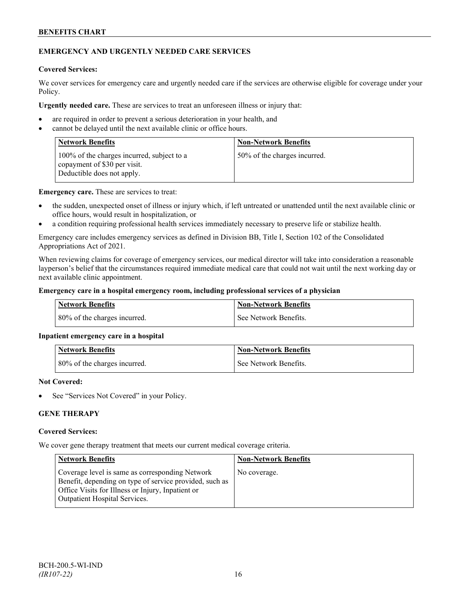# **EMERGENCY AND URGENTLY NEEDED CARE SERVICES**

## **Covered Services:**

We cover services for emergency care and urgently needed care if the services are otherwise eligible for coverage under your Policy.

**Urgently needed care.** These are services to treat an unforeseen illness or injury that:

- are required in order to prevent a serious deterioration in your health, and
- cannot be delayed until the next available clinic or office hours.

| <b>Network Benefits</b>                                                                                  | <b>Non-Network Benefits</b>  |
|----------------------------------------------------------------------------------------------------------|------------------------------|
| 100% of the charges incurred, subject to a<br>copayment of \$30 per visit.<br>Deductible does not apply. | 50% of the charges incurred. |

**Emergency care.** These are services to treat:

- the sudden, unexpected onset of illness or injury which, if left untreated or unattended until the next available clinic or office hours, would result in hospitalization, or
- a condition requiring professional health services immediately necessary to preserve life or stabilize health.

Emergency care includes emergency services as defined in Division BB, Title I, Section 102 of the Consolidated Appropriations Act of 2021.

When reviewing claims for coverage of emergency services, our medical director will take into consideration a reasonable layperson's belief that the circumstances required immediate medical care that could not wait until the next working day or next available clinic appointment.

## **Emergency care in a hospital emergency room, including professional services of a physician**

| Network Benefits             | <b>Non-Network Benefits</b> |
|------------------------------|-----------------------------|
| 80% of the charges incurred. | See Network Benefits.       |

## **Inpatient emergency care in a hospital**

| <b>Network Benefits</b>                    | <b>Non-Network Benefits</b> |
|--------------------------------------------|-----------------------------|
| $\frac{1}{2}$ 80% of the charges incurred. | See Network Benefits.       |

#### **Not Covered:**

See "Services Not Covered" in your Policy.

# **GENE THERAPY**

#### **Covered Services:**

We cover gene therapy treatment that meets our current medical coverage criteria.

| <b>Network Benefits</b>                                                                                                                                                                                 | <b>Non-Network Benefits</b> |
|---------------------------------------------------------------------------------------------------------------------------------------------------------------------------------------------------------|-----------------------------|
| Coverage level is same as corresponding Network<br>Benefit, depending on type of service provided, such as<br>Office Visits for Illness or Injury, Inpatient or<br><b>Outpatient Hospital Services.</b> | No coverage.                |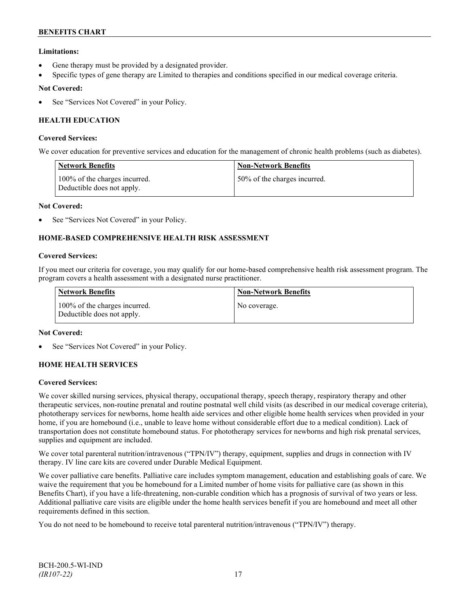# **Limitations:**

- Gene therapy must be provided by a designated provider.
- Specific types of gene therapy are Limited to therapies and conditions specified in our medical coverage criteria.

## **Not Covered:**

See "Services Not Covered" in your Policy.

# **HEALTH EDUCATION**

## **Covered Services:**

We cover education for preventive services and education for the management of chronic health problems (such as diabetes).

| <b>Network Benefits</b>                                     | <b>Non-Network Benefits</b>  |
|-------------------------------------------------------------|------------------------------|
| 100% of the charges incurred.<br>Deductible does not apply. | 50% of the charges incurred. |

#### **Not Covered:**

See "Services Not Covered" in your Policy.

# **HOME-BASED COMPREHENSIVE HEALTH RISK ASSESSMENT**

#### **Covered Services:**

If you meet our criteria for coverage, you may qualify for our home-based comprehensive health risk assessment program. The program covers a health assessment with a designated nurse practitioner.

| <b>Network Benefits</b>                                     | <b>Non-Network Benefits</b> |
|-------------------------------------------------------------|-----------------------------|
| 100% of the charges incurred.<br>Deductible does not apply. | No coverage.                |

## **Not Covered:**

See "Services Not Covered" in your Policy.

## **HOME HEALTH SERVICES**

#### **Covered Services:**

We cover skilled nursing services, physical therapy, occupational therapy, speech therapy, respiratory therapy and other therapeutic services, non-routine prenatal and routine postnatal well child visits (as described in our medical coverage criteria), phototherapy services for newborns, home health aide services and other eligible home health services when provided in your home, if you are homebound (i.e., unable to leave home without considerable effort due to a medical condition). Lack of transportation does not constitute homebound status. For phototherapy services for newborns and high risk prenatal services, supplies and equipment are included.

We cover total parenteral nutrition/intravenous ("TPN/IV") therapy, equipment, supplies and drugs in connection with IV therapy. IV line care kits are covered under Durable Medical Equipment.

We cover palliative care benefits. Palliative care includes symptom management, education and establishing goals of care. We waive the requirement that you be homebound for a Limited number of home visits for palliative care (as shown in this Benefits Chart), if you have a life-threatening, non-curable condition which has a prognosis of survival of two years or less. Additional palliative care visits are eligible under the home health services benefit if you are homebound and meet all other requirements defined in this section.

You do not need to be homebound to receive total parenteral nutrition/intravenous ("TPN/IV") therapy.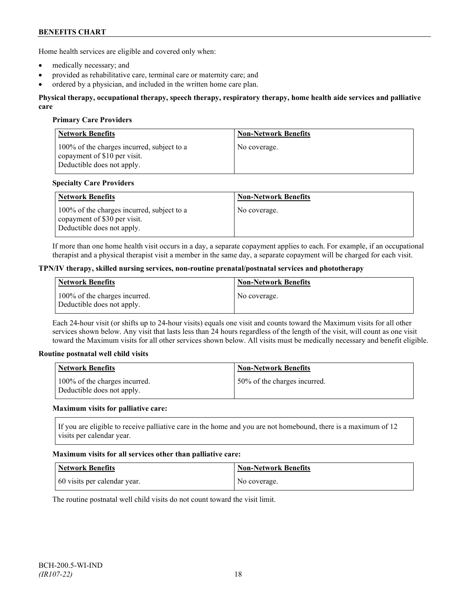Home health services are eligible and covered only when:

- medically necessary; and
- provided as rehabilitative care, terminal care or maternity care; and
- ordered by a physician, and included in the written home care plan.

#### **Physical therapy, occupational therapy, speech therapy, respiratory therapy, home health aide services and palliative care**

## **Primary Care Providers**

| <b>Network Benefits</b>                                                                                  | <b>Non-Network Benefits</b> |
|----------------------------------------------------------------------------------------------------------|-----------------------------|
| 100% of the charges incurred, subject to a<br>copayment of \$10 per visit.<br>Deductible does not apply. | No coverage.                |

#### **Specialty Care Providers**

| <b>Network Benefits</b>                                                                                  | <b>Non-Network Benefits</b> |
|----------------------------------------------------------------------------------------------------------|-----------------------------|
| 100% of the charges incurred, subject to a<br>copayment of \$30 per visit.<br>Deductible does not apply. | No coverage.                |

If more than one home health visit occurs in a day, a separate copayment applies to each. For example, if an occupational therapist and a physical therapist visit a member in the same day, a separate copayment will be charged for each visit.

#### **TPN/IV therapy, skilled nursing services, non-routine prenatal/postnatal services and phototherapy**

| Network Benefits                                            | <b>Non-Network Benefits</b> |
|-------------------------------------------------------------|-----------------------------|
| 100% of the charges incurred.<br>Deductible does not apply. | No coverage.                |

Each 24-hour visit (or shifts up to 24-hour visits) equals one visit and counts toward the Maximum visits for all other services shown below. Any visit that lasts less than 24 hours regardless of the length of the visit, will count as one visit toward the Maximum visits for all other services shown below. All visits must be medically necessary and benefit eligible.

#### **Routine postnatal well child visits**

| Network Benefits                                            | <b>Non-Network Benefits</b>  |
|-------------------------------------------------------------|------------------------------|
| 100% of the charges incurred.<br>Deductible does not apply. | 50% of the charges incurred. |

#### **Maximum visits for palliative care:**

If you are eligible to receive palliative care in the home and you are not homebound, there is a maximum of 12 visits per calendar year.

#### **Maximum visits for all services other than palliative care:**

| Network Benefits             | Non-Network Benefits |
|------------------------------|----------------------|
| 60 visits per calendar year. | No coverage.         |

The routine postnatal well child visits do not count toward the visit limit.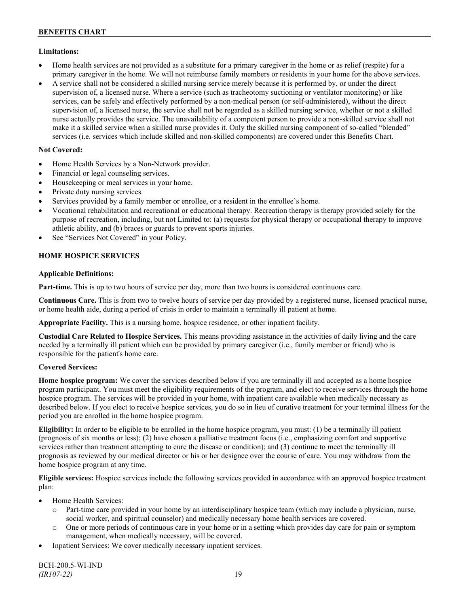# **Limitations:**

- Home health services are not provided as a substitute for a primary caregiver in the home or as relief (respite) for a primary caregiver in the home. We will not reimburse family members or residents in your home for the above services.
- A service shall not be considered a skilled nursing service merely because it is performed by, or under the direct supervision of, a licensed nurse. Where a service (such as tracheotomy suctioning or ventilator monitoring) or like services, can be safely and effectively performed by a non-medical person (or self-administered), without the direct supervision of, a licensed nurse, the service shall not be regarded as a skilled nursing service, whether or not a skilled nurse actually provides the service. The unavailability of a competent person to provide a non-skilled service shall not make it a skilled service when a skilled nurse provides it. Only the skilled nursing component of so-called "blended" services (i.e. services which include skilled and non-skilled components) are covered under this Benefits Chart.

# **Not Covered:**

- Home Health Services by a Non-Network provider.
- Financial or legal counseling services.
- Housekeeping or meal services in your home.
- Private duty nursing services.
- Services provided by a family member or enrollee, or a resident in the enrollee's home.
- Vocational rehabilitation and recreational or educational therapy. Recreation therapy is therapy provided solely for the purpose of recreation, including, but not Limited to: (a) requests for physical therapy or occupational therapy to improve athletic ability, and (b) braces or guards to prevent sports injuries.
- See "Services Not Covered" in your Policy.

# **HOME HOSPICE SERVICES**

## **Applicable Definitions:**

**Part-time.** This is up to two hours of service per day, more than two hours is considered continuous care.

**Continuous Care.** This is from two to twelve hours of service per day provided by a registered nurse, licensed practical nurse, or home health aide, during a period of crisis in order to maintain a terminally ill patient at home.

**Appropriate Facility.** This is a nursing home, hospice residence, or other inpatient facility.

**Custodial Care Related to Hospice Services.** This means providing assistance in the activities of daily living and the care needed by a terminally ill patient which can be provided by primary caregiver (i.e., family member or friend) who is responsible for the patient's home care.

## **Covered Services:**

**Home hospice program:** We cover the services described below if you are terminally ill and accepted as a home hospice program participant. You must meet the eligibility requirements of the program, and elect to receive services through the home hospice program. The services will be provided in your home, with inpatient care available when medically necessary as described below. If you elect to receive hospice services, you do so in lieu of curative treatment for your terminal illness for the period you are enrolled in the home hospice program.

**Eligibility:** In order to be eligible to be enrolled in the home hospice program, you must: (1) be a terminally ill patient (prognosis of six months or less); (2) have chosen a palliative treatment focus (i.e., emphasizing comfort and supportive services rather than treatment attempting to cure the disease or condition); and (3) continue to meet the terminally ill prognosis as reviewed by our medical director or his or her designee over the course of care. You may withdraw from the home hospice program at any time.

**Eligible services:** Hospice services include the following services provided in accordance with an approved hospice treatment plan:

- Home Health Services:
	- o Part-time care provided in your home by an interdisciplinary hospice team (which may include a physician, nurse, social worker, and spiritual counselor) and medically necessary home health services are covered.
	- o One or more periods of continuous care in your home or in a setting which provides day care for pain or symptom management, when medically necessary, will be covered.
- Inpatient Services: We cover medically necessary inpatient services.

BCH-200.5-WI-IND *(IR107-22)* 19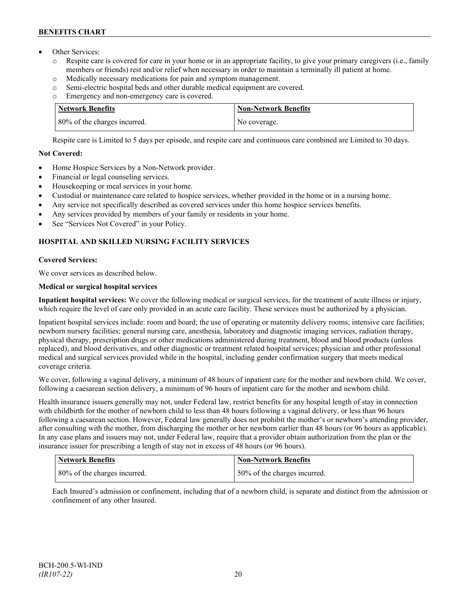- Other Services:
	- o Respite care is covered for care in your home or in an appropriate facility, to give your primary caregivers (i.e., family members or friends) rest and/or relief when necessary in order to maintain a terminally ill patient at home*.*
	- o Medically necessary medications for pain and symptom management.
	- o Semi-electric hospital beds and other durable medical equipment are covered.
	- o Emergency and non-emergency care is covered.

| <b>Network Benefits</b>      | <b>Non-Network Benefits</b> |
|------------------------------|-----------------------------|
| 80% of the charges incurred. | No coverage.                |

Respite care is Limited to 5 days per episode, and respite care and continuous care combined are Limited to 30 days.

# **Not Covered:**

- Home Hospice Services by a Non-Network provider.
- Financial or legal counseling services.
- Housekeeping or meal services in your home.
- Custodial or maintenance care related to hospice services, whether provided in the home or in a nursing home.
- Any service not specifically described as covered services under this home hospice services benefits.
- Any services provided by members of your family or residents in your home.
- See "Services Not Covered" in your Policy.

# **HOSPITAL AND SKILLED NURSING FACILITY SERVICES**

# **Covered Services:**

We cover services as described below.

# **Medical or surgical hospital services**

**Inpatient hospital services:** We cover the following medical or surgical services, for the treatment of acute illness or injury, which require the level of care only provided in an acute care facility. These services must be authorized by a physician.

Inpatient hospital services include: room and board; the use of operating or maternity delivery rooms; intensive care facilities; newborn nursery facilities; general nursing care, anesthesia, laboratory and diagnostic imaging services, radiation therapy, physical therapy, prescription drugs or other medications administered during treatment, blood and blood products (unless replaced), and blood derivatives, and other diagnostic or treatment related hospital services; physician and other professional medical and surgical services provided while in the hospital, including gender confirmation surgery that meets medical coverage criteria.

We cover, following a vaginal delivery, a minimum of 48 hours of inpatient care for the mother and newborn child. We cover, following a caesarean section delivery, a minimum of 96 hours of inpatient care for the mother and newborn child.

Health insurance issuers generally may not, under Federal law, restrict benefits for any hospital length of stay in connection with childbirth for the mother of newborn child to less than 48 hours following a vaginal delivery, or less than 96 hours following a caesarean section. However, Federal law generally does not prohibit the mother's or newborn's attending provider, after consulting with the mother, from discharging the mother or her newborn earlier than 48 hours (or 96 hours as applicable). In any case plans and issuers may not, under Federal law, require that a provider obtain authorization from the plan or the insurance issuer for prescribing a length of stay not in excess of 48 hours (or 96 hours).

| Network Benefits             | <b>Non-Network Benefits</b>  |
|------------------------------|------------------------------|
| 80% of the charges incurred. | 50% of the charges incurred. |

Each Insured's admission or confinement, including that of a newborn child, is separate and distinct from the admission or confinement of any other Insured.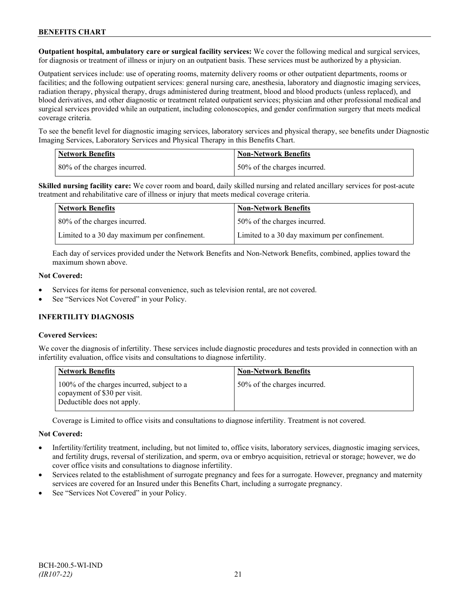**Outpatient hospital, ambulatory care or surgical facility services:** We cover the following medical and surgical services, for diagnosis or treatment of illness or injury on an outpatient basis. These services must be authorized by a physician.

Outpatient services include: use of operating rooms, maternity delivery rooms or other outpatient departments, rooms or facilities; and the following outpatient services: general nursing care, anesthesia, laboratory and diagnostic imaging services, radiation therapy, physical therapy, drugs administered during treatment, blood and blood products (unless replaced), and blood derivatives, and other diagnostic or treatment related outpatient services; physician and other professional medical and surgical services provided while an outpatient, including colonoscopies, and gender confirmation surgery that meets medical coverage criteria.

To see the benefit level for diagnostic imaging services, laboratory services and physical therapy, see benefits under Diagnostic Imaging Services, Laboratory Services and Physical Therapy in this Benefits Chart.

| <b>Network Benefits</b> |                              | <b>Non-Network Benefits</b>  |
|-------------------------|------------------------------|------------------------------|
|                         | 80% of the charges incurred. | 50% of the charges incurred. |

**Skilled nursing facility care:** We cover room and board, daily skilled nursing and related ancillary services for post-acute treatment and rehabilitative care of illness or injury that meets medical coverage criteria.

| Network Benefits                             | <b>Non-Network Benefits</b>                  |
|----------------------------------------------|----------------------------------------------|
| 80% of the charges incurred.                 | 50% of the charges incurred.                 |
| Limited to a 30 day maximum per confinement. | Limited to a 30 day maximum per confinement. |

Each day of services provided under the Network Benefits and Non-Network Benefits, combined, applies toward the maximum shown above.

#### **Not Covered:**

- Services for items for personal convenience, such as television rental, are not covered.
- See "Services Not Covered" in your Policy.

## **INFERTILITY DIAGNOSIS**

## **Covered Services:**

We cover the diagnosis of infertility. These services include diagnostic procedures and tests provided in connection with an infertility evaluation, office visits and consultations to diagnose infertility.

| <b>Network Benefits</b>                                                                                  | <b>Non-Network Benefits</b>  |
|----------------------------------------------------------------------------------------------------------|------------------------------|
| 100% of the charges incurred, subject to a<br>copayment of \$30 per visit.<br>Deductible does not apply. | 50% of the charges incurred. |

Coverage is Limited to office visits and consultations to diagnose infertility. Treatment is not covered.

#### **Not Covered:**

- Infertility/fertility treatment, including, but not limited to, office visits, laboratory services, diagnostic imaging services, and fertility drugs, reversal of sterilization, and sperm, ova or embryo acquisition, retrieval or storage; however, we do cover office visits and consultations to diagnose infertility.
- Services related to the establishment of surrogate pregnancy and fees for a surrogate. However, pregnancy and maternity services are covered for an Insured under this Benefits Chart, including a surrogate pregnancy.
- See "Services Not Covered" in your Policy.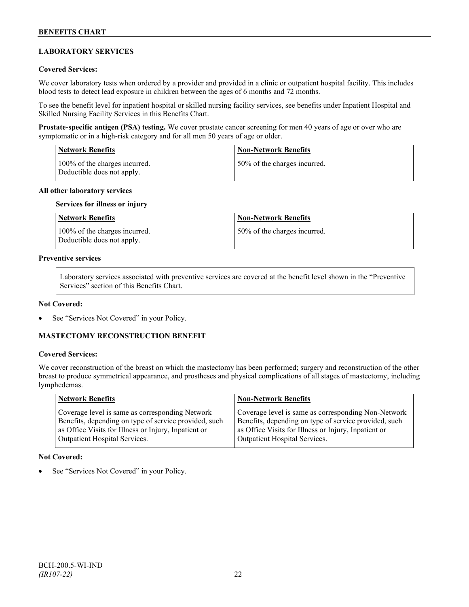# **LABORATORY SERVICES**

## **Covered Services:**

We cover laboratory tests when ordered by a provider and provided in a clinic or outpatient hospital facility. This includes blood tests to detect lead exposure in children between the ages of 6 months and 72 months.

To see the benefit level for inpatient hospital or skilled nursing facility services, see benefits under Inpatient Hospital and Skilled Nursing Facility Services in this Benefits Chart.

**Prostate-specific antigen (PSA) testing.** We cover prostate cancer screening for men 40 years of age or over who are symptomatic or in a high-risk category and for all men 50 years of age or older.

| <b>Network Benefits</b>                                     | <b>Non-Network Benefits</b>  |
|-------------------------------------------------------------|------------------------------|
| 100% of the charges incurred.<br>Deductible does not apply. | 50% of the charges incurred. |

#### **All other laboratory services**

#### **Services for illness or injury**

| Network Benefits                                            | <b>Non-Network Benefits</b>  |
|-------------------------------------------------------------|------------------------------|
| 100% of the charges incurred.<br>Deductible does not apply. | 50% of the charges incurred. |

# **Preventive services**

Laboratory services associated with preventive services are covered at the benefit level shown in the "Preventive Services" section of this Benefits Chart.

#### **Not Covered:**

See "Services Not Covered" in your Policy.

## **MASTECTOMY RECONSTRUCTION BENEFIT**

#### **Covered Services:**

We cover reconstruction of the breast on which the mastectomy has been performed; surgery and reconstruction of the other breast to produce symmetrical appearance, and prostheses and physical complications of all stages of mastectomy, including lymphedemas.

| Network Benefits                                      | <b>Non-Network Benefits</b>                           |
|-------------------------------------------------------|-------------------------------------------------------|
| Coverage level is same as corresponding Network       | Coverage level is same as corresponding Non-Network   |
| Benefits, depending on type of service provided, such | Benefits, depending on type of service provided, such |
| as Office Visits for Illness or Injury, Inpatient or  | as Office Visits for Illness or Injury, Inpatient or  |
| <b>Outpatient Hospital Services.</b>                  | Outpatient Hospital Services.                         |

#### **Not Covered:**

See "Services Not Covered" in your Policy.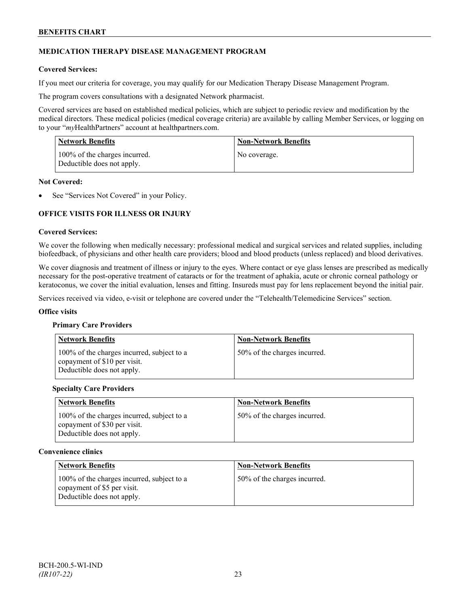# **MEDICATION THERAPY DISEASE MANAGEMENT PROGRAM**

## **Covered Services:**

If you meet our criteria for coverage, you may qualify for our Medication Therapy Disease Management Program.

The program covers consultations with a designated Network pharmacist.

Covered services are based on established medical policies, which are subject to periodic review and modification by the medical directors. These medical policies (medical coverage criteria) are available by calling Member Services, or logging on to your "*my*HealthPartners" account at [healthpartners.com.](http://www.healthpartners.com/)

| <b>Network Benefits</b>                                     | <b>Non-Network Benefits</b> |
|-------------------------------------------------------------|-----------------------------|
| 100% of the charges incurred.<br>Deductible does not apply. | No coverage.                |

#### **Not Covered:**

See "Services Not Covered" in your Policy.

# **OFFICE VISITS FOR ILLNESS OR INJURY**

#### **Covered Services:**

We cover the following when medically necessary: professional medical and surgical services and related supplies, including biofeedback, of physicians and other health care providers; blood and blood products (unless replaced) and blood derivatives.

We cover diagnosis and treatment of illness or injury to the eyes. Where contact or eye glass lenses are prescribed as medically necessary for the post-operative treatment of cataracts or for the treatment of aphakia, acute or chronic corneal pathology or keratoconus, we cover the initial evaluation, lenses and fitting. Insureds must pay for lens replacement beyond the initial pair.

Services received via video, e-visit or telephone are covered under the "Telehealth/Telemedicine Services" section.

#### **Office visits**

#### **Primary Care Providers**

| <b>Network Benefits</b>                                                                                  | <b>Non-Network Benefits</b>  |
|----------------------------------------------------------------------------------------------------------|------------------------------|
| 100% of the charges incurred, subject to a<br>copayment of \$10 per visit.<br>Deductible does not apply. | 50% of the charges incurred. |

#### **Specialty Care Providers**

| <b>Network Benefits</b>                                                                                  | <b>Non-Network Benefits</b>  |
|----------------------------------------------------------------------------------------------------------|------------------------------|
| 100% of the charges incurred, subject to a<br>copayment of \$30 per visit.<br>Deductible does not apply. | 50% of the charges incurred. |

#### **Convenience clinics**

| <b>Network Benefits</b>                                                                                 | <b>Non-Network Benefits</b>  |
|---------------------------------------------------------------------------------------------------------|------------------------------|
| 100% of the charges incurred, subject to a<br>copayment of \$5 per visit.<br>Deductible does not apply. | 50% of the charges incurred. |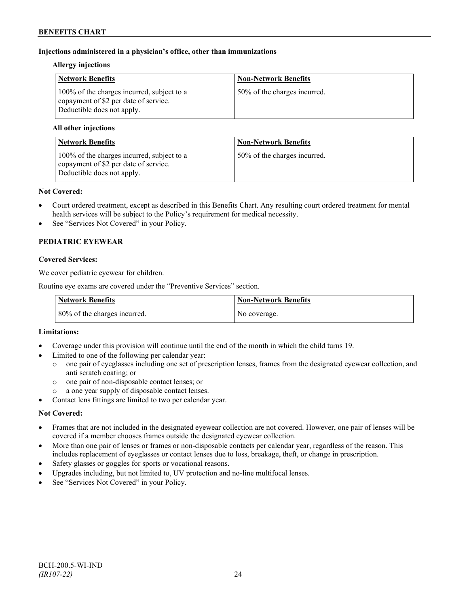# **Injections administered in a physician's office, other than immunizations**

## **Allergy injections**

| <b>Network Benefits</b>                                                                                           | <b>Non-Network Benefits</b>  |
|-------------------------------------------------------------------------------------------------------------------|------------------------------|
| 100% of the charges incurred, subject to a<br>copayment of \$2 per date of service.<br>Deductible does not apply. | 50% of the charges incurred. |

## **All other injections**

| <b>Network Benefits</b>                                                                                           | <b>Non-Network Benefits</b>  |
|-------------------------------------------------------------------------------------------------------------------|------------------------------|
| 100% of the charges incurred, subject to a<br>copayment of \$2 per date of service.<br>Deductible does not apply. | 50% of the charges incurred. |

#### **Not Covered:**

- Court ordered treatment, except as described in this Benefits Chart. Any resulting court ordered treatment for mental health services will be subject to the Policy's requirement for medical necessity.
- See "Services Not Covered" in your Policy.

# **PEDIATRIC EYEWEAR**

## **Covered Services:**

We cover pediatric eyewear for children.

Routine eye exams are covered under the "Preventive Services" section.

| <b>Network Benefits</b>      | <b>Non-Network Benefits</b> |
|------------------------------|-----------------------------|
| 80% of the charges incurred. | No coverage.                |

## **Limitations:**

- Coverage under this provision will continue until the end of the month in which the child turns 19.
- Limited to one of the following per calendar year:
	- o one pair of eyeglasses including one set of prescription lenses, frames from the designated eyewear collection, and anti scratch coating; or
	- o one pair of non-disposable contact lenses; or
	- a one year supply of disposable contact lenses.
- Contact lens fittings are limited to two per calendar year.

## **Not Covered:**

- Frames that are not included in the designated eyewear collection are not covered. However, one pair of lenses will be covered if a member chooses frames outside the designated eyewear collection.
- More than one pair of lenses or frames or non-disposable contacts per calendar year, regardless of the reason. This includes replacement of eyeglasses or contact lenses due to loss, breakage, theft, or change in prescription.
- Safety glasses or goggles for sports or vocational reasons.
- Upgrades including, but not limited to, UV protection and no-line multifocal lenses.
- See "Services Not Covered" in your Policy.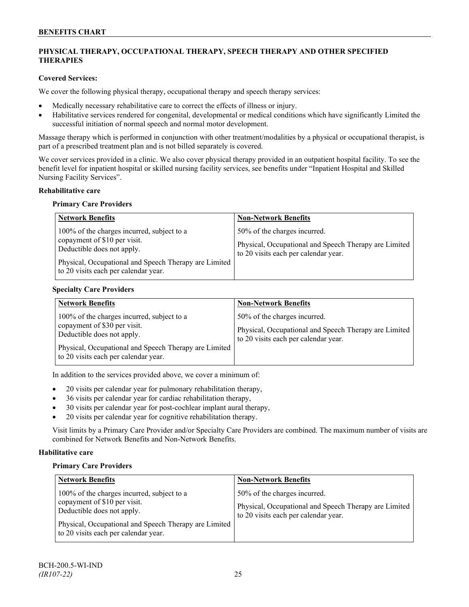# **PHYSICAL THERAPY, OCCUPATIONAL THERAPY, SPEECH THERAPY AND OTHER SPECIFIED THERAPIES**

## **Covered Services:**

We cover the following physical therapy, occupational therapy and speech therapy services:

- Medically necessary rehabilitative care to correct the effects of illness or injury.
- Habilitative services rendered for congenital, developmental or medical conditions which have significantly Limited the successful initiation of normal speech and normal motor development.

Massage therapy which is performed in conjunction with other treatment/modalities by a physical or occupational therapist, is part of a prescribed treatment plan and is not billed separately is covered.

We cover services provided in a clinic. We also cover physical therapy provided in an outpatient hospital facility. To see the benefit level for inpatient hospital or skilled nursing facility services, see benefits under "Inpatient Hospital and Skilled Nursing Facility Services".

## **Rehabilitative care**

#### **Primary Care Providers**

| <b>Network Benefits</b>                                                                                                                                                                                   | <b>Non-Network Benefits</b>                                                                                                   |
|-----------------------------------------------------------------------------------------------------------------------------------------------------------------------------------------------------------|-------------------------------------------------------------------------------------------------------------------------------|
| 100% of the charges incurred, subject to a<br>copayment of \$10 per visit.<br>Deductible does not apply.<br>Physical, Occupational and Speech Therapy are Limited<br>to 20 visits each per calendar year. | 50% of the charges incurred.<br>Physical, Occupational and Speech Therapy are Limited<br>to 20 visits each per calendar year. |

## **Specialty Care Providers**

| <b>Network Benefits</b>                                                                                                                                                                                   | <b>Non-Network Benefits</b>                                                                                                   |
|-----------------------------------------------------------------------------------------------------------------------------------------------------------------------------------------------------------|-------------------------------------------------------------------------------------------------------------------------------|
| 100% of the charges incurred, subject to a<br>copayment of \$30 per visit.<br>Deductible does not apply.<br>Physical, Occupational and Speech Therapy are Limited<br>to 20 visits each per calendar year. | 50% of the charges incurred.<br>Physical, Occupational and Speech Therapy are Limited<br>to 20 visits each per calendar year. |

In addition to the services provided above, we cover a minimum of:

- 20 visits per calendar year for pulmonary rehabilitation therapy,
- 36 visits per calendar year for cardiac rehabilitation therapy,
- 30 visits per calendar year for post-cochlear implant aural therapy,
- 20 visits per calendar year for cognitive rehabilitation therapy.

Visit limits by a Primary Care Provider and/or Specialty Care Providers are combined. The maximum number of visits are combined for Network Benefits and Non-Network Benefits.

## **Habilitative care**

#### **Primary Care Providers**

| <b>Network Benefits</b>                                                                                                                                                                                   | <b>Non-Network Benefits</b>                                                                                                   |
|-----------------------------------------------------------------------------------------------------------------------------------------------------------------------------------------------------------|-------------------------------------------------------------------------------------------------------------------------------|
| 100% of the charges incurred, subject to a<br>copayment of \$10 per visit.<br>Deductible does not apply.<br>Physical, Occupational and Speech Therapy are Limited<br>to 20 visits each per calendar year. | 50% of the charges incurred.<br>Physical, Occupational and Speech Therapy are Limited<br>to 20 visits each per calendar year. |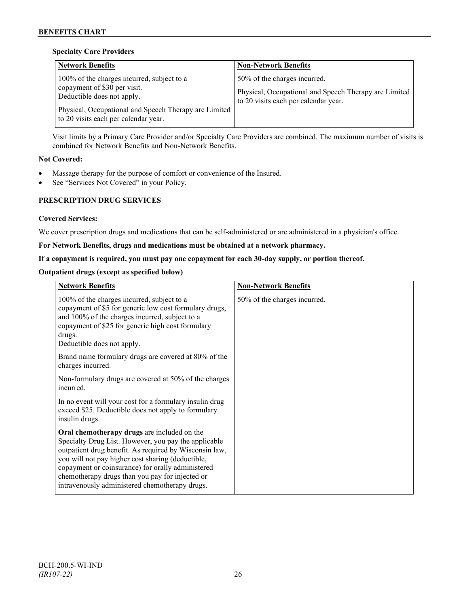## **Specialty Care Providers**

| <b>Network Benefits</b>                                                                                                                                                                                     | <b>Non-Network Benefits</b>                                                                                                   |
|-------------------------------------------------------------------------------------------------------------------------------------------------------------------------------------------------------------|-------------------------------------------------------------------------------------------------------------------------------|
| 100% of the charges incurred, subject to a<br>copayment of \$30 per visit.<br>Deductible does not apply.<br>Physical, Occupational and Speech Therapy are Limited  <br>to 20 visits each per calendar year. | 50% of the charges incurred.<br>Physical, Occupational and Speech Therapy are Limited<br>to 20 visits each per calendar year. |

Visit limits by a Primary Care Provider and/or Specialty Care Providers are combined. The maximum number of visits is combined for Network Benefits and Non-Network Benefits.

# **Not Covered:**

- Massage therapy for the purpose of comfort or convenience of the Insured.
- See "Services Not Covered" in your Policy.

# **PRESCRIPTION DRUG SERVICES**

## **Covered Services:**

We cover prescription drugs and medications that can be self-administered or are administered in a physician's office.

## **For Network Benefits, drugs and medications must be obtained at a network pharmacy.**

# **If a copayment is required, you must pay one copayment for each 30-day supply, or portion thereof.**

# **Outpatient drugs (except as specified below)**

| <b>Network Benefits</b>                                                                                                                                                                                                                                                                                                                                                      | <b>Non-Network Benefits</b>  |
|------------------------------------------------------------------------------------------------------------------------------------------------------------------------------------------------------------------------------------------------------------------------------------------------------------------------------------------------------------------------------|------------------------------|
| 100% of the charges incurred, subject to a<br>copayment of \$5 for generic low cost formulary drugs,<br>and 100% of the charges incurred, subject to a<br>copayment of \$25 for generic high cost formulary<br>drugs.<br>Deductible does not apply.                                                                                                                          | 50% of the charges incurred. |
| Brand name formulary drugs are covered at 80% of the<br>charges incurred.                                                                                                                                                                                                                                                                                                    |                              |
| Non-formulary drugs are covered at 50% of the charges<br>incurred.                                                                                                                                                                                                                                                                                                           |                              |
| In no event will your cost for a formulary insulin drug<br>exceed \$25. Deductible does not apply to formulary<br>insulin drugs.                                                                                                                                                                                                                                             |                              |
| Oral chemotherapy drugs are included on the<br>Specialty Drug List. However, you pay the applicable<br>outpatient drug benefit. As required by Wisconsin law,<br>you will not pay higher cost sharing (deductible,<br>copayment or coinsurance) for orally administered<br>chemotherapy drugs than you pay for injected or<br>intravenously administered chemotherapy drugs. |                              |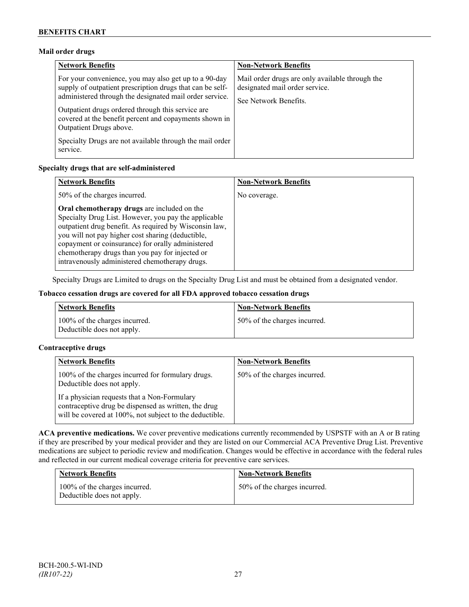# **Mail order drugs**

| <b>Network Benefits</b>                                                                                                                                                                                                                                                                                                 | <b>Non-Network Benefits</b>                                                                                |
|-------------------------------------------------------------------------------------------------------------------------------------------------------------------------------------------------------------------------------------------------------------------------------------------------------------------------|------------------------------------------------------------------------------------------------------------|
| For your convenience, you may also get up to a 90-day<br>supply of outpatient prescription drugs that can be self-<br>administered through the designated mail order service.<br>Outpatient drugs ordered through this service are<br>covered at the benefit percent and copayments shown in<br>Outpatient Drugs above. | Mail order drugs are only available through the<br>designated mail order service.<br>See Network Benefits. |
| Specialty Drugs are not available through the mail order<br>service.                                                                                                                                                                                                                                                    |                                                                                                            |

## **Specialty drugs that are self-administered**

| <b>Network Benefits</b>                                                                                                                                                                                                                                                                                                                                                      | <b>Non-Network Benefits</b> |
|------------------------------------------------------------------------------------------------------------------------------------------------------------------------------------------------------------------------------------------------------------------------------------------------------------------------------------------------------------------------------|-----------------------------|
| 50% of the charges incurred.                                                                                                                                                                                                                                                                                                                                                 | No coverage.                |
| Oral chemotherapy drugs are included on the<br>Specialty Drug List. However, you pay the applicable<br>outpatient drug benefit. As required by Wisconsin law,<br>you will not pay higher cost sharing (deductible,<br>copayment or coinsurance) for orally administered<br>chemotherapy drugs than you pay for injected or<br>intravenously administered chemotherapy drugs. |                             |

Specialty Drugs are Limited to drugs on the Specialty Drug List and must be obtained from a designated vendor.

## **Tobacco cessation drugs are covered for all FDA approved tobacco cessation drugs**

| <b>Network Benefits</b>                                     | <b>Non-Network Benefits</b>  |
|-------------------------------------------------------------|------------------------------|
| 100% of the charges incurred.<br>Deductible does not apply. | 50% of the charges incurred. |

## **Contraceptive drugs**

| <b>Network Benefits</b>                                                                                                                                         | <b>Non-Network Benefits</b>  |
|-----------------------------------------------------------------------------------------------------------------------------------------------------------------|------------------------------|
| 100% of the charges incurred for formulary drugs.<br>Deductible does not apply.                                                                                 | 50% of the charges incurred. |
| If a physician requests that a Non-Formulary<br>contraceptive drug be dispensed as written, the drug<br>will be covered at 100%, not subject to the deductible. |                              |

**ACA preventive medications.** We cover preventive medications currently recommended by USPSTF with an A or B rating if they are prescribed by your medical provider and they are listed on our Commercial ACA Preventive Drug List. Preventive medications are subject to periodic review and modification. Changes would be effective in accordance with the federal rules and reflected in our current medical coverage criteria for preventive care services.

| <b>Network Benefits</b>                                     | <b>Non-Network Benefits</b>  |
|-------------------------------------------------------------|------------------------------|
| 100% of the charges incurred.<br>Deductible does not apply. | 50% of the charges incurred. |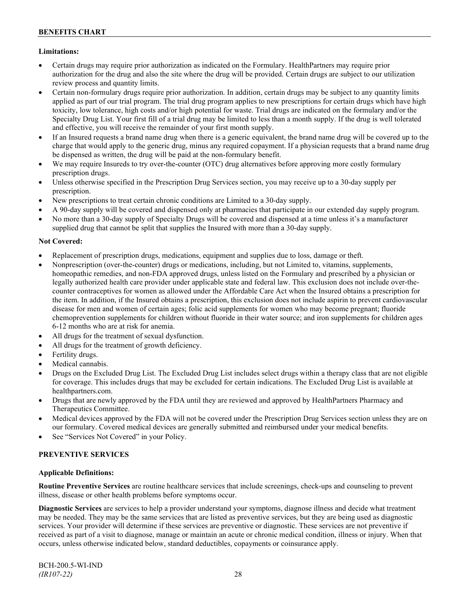# **Limitations:**

- Certain drugs may require prior authorization as indicated on the Formulary. HealthPartners may require prior authorization for the drug and also the site where the drug will be provided. Certain drugs are subject to our utilization review process and quantity limits.
- Certain non-formulary drugs require prior authorization. In addition, certain drugs may be subject to any quantity limits applied as part of our trial program. The trial drug program applies to new prescriptions for certain drugs which have high toxicity, low tolerance, high costs and/or high potential for waste. Trial drugs are indicated on the formulary and/or the Specialty Drug List. Your first fill of a trial drug may be limited to less than a month supply. If the drug is well tolerated and effective, you will receive the remainder of your first month supply.
- If an Insured requests a brand name drug when there is a generic equivalent, the brand name drug will be covered up to the charge that would apply to the generic drug, minus any required copayment. If a physician requests that a brand name drug be dispensed as written, the drug will be paid at the non-formulary benefit.
- We may require Insureds to try over-the-counter (OTC) drug alternatives before approving more costly formulary prescription drugs.
- Unless otherwise specified in the Prescription Drug Services section, you may receive up to a 30-day supply per prescription.
- New prescriptions to treat certain chronic conditions are Limited to a 30-day supply.
- A 90-day supply will be covered and dispensed only at pharmacies that participate in our extended day supply program.
- No more than a 30-day supply of Specialty Drugs will be covered and dispensed at a time unless it's a manufacturer supplied drug that cannot be split that supplies the Insured with more than a 30-day supply.

## **Not Covered:**

- Replacement of prescription drugs, medications, equipment and supplies due to loss, damage or theft.
- Nonprescription (over-the-counter) drugs or medications, including, but not Limited to, vitamins, supplements, homeopathic remedies, and non-FDA approved drugs, unless listed on the Formulary and prescribed by a physician or legally authorized health care provider under applicable state and federal law. This exclusion does not include over-thecounter contraceptives for women as allowed under the Affordable Care Act when the Insured obtains a prescription for the item. In addition, if the Insured obtains a prescription, this exclusion does not include aspirin to prevent cardiovascular disease for men and women of certain ages; folic acid supplements for women who may become pregnant; fluoride chemoprevention supplements for children without fluoride in their water source; and iron supplements for children ages 6-12 months who are at risk for anemia.
- All drugs for the treatment of sexual dysfunction.
- All drugs for the treatment of growth deficiency.
- Fertility drugs.
- Medical cannabis.
- Drugs on the Excluded Drug List. The Excluded Drug List includes select drugs within a therapy class that are not eligible for coverage. This includes drugs that may be excluded for certain indications. The Excluded Drug List is available at [healthpartners.com.](http://www.healthpartners.com/)
- Drugs that are newly approved by the FDA until they are reviewed and approved by HealthPartners Pharmacy and Therapeutics Committee.
- Medical devices approved by the FDA will not be covered under the Prescription Drug Services section unless they are on our formulary. Covered medical devices are generally submitted and reimbursed under your medical benefits.
- See "Services Not Covered" in your Policy.

## **PREVENTIVE SERVICES**

## **Applicable Definitions:**

**Routine Preventive Services** are routine healthcare services that include screenings, check-ups and counseling to prevent illness, disease or other health problems before symptoms occur.

**Diagnostic Services** are services to help a provider understand your symptoms, diagnose illness and decide what treatment may be needed. They may be the same services that are listed as preventive services, but they are being used as diagnostic services. Your provider will determine if these services are preventive or diagnostic. These services are not preventive if received as part of a visit to diagnose, manage or maintain an acute or chronic medical condition, illness or injury. When that occurs, unless otherwise indicated below, standard deductibles, copayments or coinsurance apply.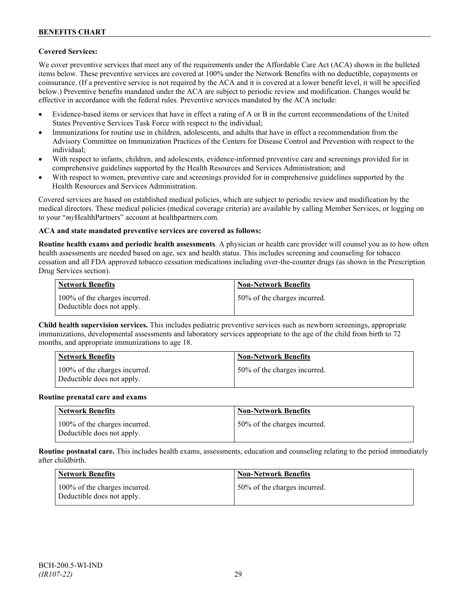# **Covered Services:**

We cover preventive services that meet any of the requirements under the Affordable Care Act (ACA) shown in the bulleted items below. These preventive services are covered at 100% under the Network Benefits with no deductible, copayments or coinsurance. (If a preventive service is not required by the ACA and it is covered at a lower benefit level, it will be specified below.) Preventive benefits mandated under the ACA are subject to periodic review and modification. Changes would be effective in accordance with the federal rules. Preventive services mandated by the ACA include:

- Evidence-based items or services that have in effect a rating of A or B in the current recommendations of the United States Preventive Services Task Force with respect to the individual;
- Immunizations for routine use in children, adolescents, and adults that have in effect a recommendation from the Advisory Committee on Immunization Practices of the Centers for Disease Control and Prevention with respect to the individual;
- With respect to infants, children, and adolescents, evidence-informed preventive care and screenings provided for in comprehensive guidelines supported by the Health Resources and Services Administration; and
- With respect to women, preventive care and screenings provided for in comprehensive guidelines supported by the Health Resources and Services Administration.

Covered services are based on established medical policies, which are subject to periodic review and modification by the medical directors. These medical policies (medical coverage criteria) are available by calling Member Services, or logging on to your "*my*HealthPartners" account at [healthpartners.com.](http://www.healthpartners.com/)

## **ACA and state mandated preventive services are covered as follows:**

**Routine health exams and periodic health assessments**. A physician or health care provider will counsel you as to how often health assessments are needed based on age, sex and health status. This includes screening and counseling for tobacco cessation and all FDA approved tobacco cessation medications including over-the-counter drugs (as shown in the Prescription Drug Services section).

| <b>Network Benefits</b>                                     | <b>Non-Network Benefits</b>  |
|-------------------------------------------------------------|------------------------------|
| 100% of the charges incurred.<br>Deductible does not apply. | 50% of the charges incurred. |

**Child health supervision services.** This includes pediatric preventive services such as newborn screenings, appropriate immunizations, developmental assessments and laboratory services appropriate to the age of the child from birth to 72 months, and appropriate immunizations to age 18.

| <b>Network Benefits</b>                                     | <b>Non-Network Benefits</b>  |
|-------------------------------------------------------------|------------------------------|
| 100% of the charges incurred.<br>Deductible does not apply. | 50% of the charges incurred. |

#### **Routine prenatal care and exams**

| Network Benefits                                            | <b>Non-Network Benefits</b>  |
|-------------------------------------------------------------|------------------------------|
| 100% of the charges incurred.<br>Deductible does not apply. | 50% of the charges incurred. |

**Routine postnatal care.** This includes health exams, assessments, education and counseling relating to the period immediately after childbirth.

| <b>Network Benefits</b>                                     | <b>Non-Network Benefits</b>  |
|-------------------------------------------------------------|------------------------------|
| 100% of the charges incurred.<br>Deductible does not apply. | 50% of the charges incurred. |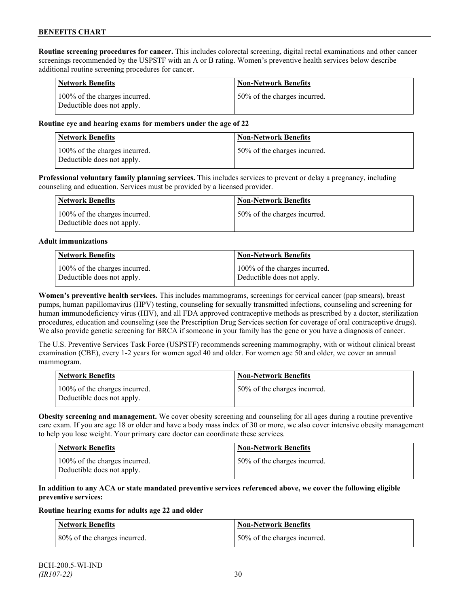**Routine screening procedures for cancer.** This includes colorectal screening, digital rectal examinations and other cancer screenings recommended by the USPSTF with an A or B rating. Women's preventive health services below describe additional routine screening procedures for cancer.

| <b>Network Benefits</b>                                     | <b>Non-Network Benefits</b>  |
|-------------------------------------------------------------|------------------------------|
| 100% of the charges incurred.<br>Deductible does not apply. | 50% of the charges incurred. |

## **Routine eye and hearing exams for members under the age of 22**

| Network Benefits                                            | <b>Non-Network Benefits</b>  |
|-------------------------------------------------------------|------------------------------|
| 100% of the charges incurred.<br>Deductible does not apply. | 50% of the charges incurred. |

**Professional voluntary family planning services.** This includes services to prevent or delay a pregnancy, including counseling and education. Services must be provided by a licensed provider.

| Network Benefits                                            | <b>Non-Network Benefits</b>  |
|-------------------------------------------------------------|------------------------------|
| 100% of the charges incurred.<br>Deductible does not apply. | 50% of the charges incurred. |

#### **Adult immunizations**

| <b>Network Benefits</b>       | <b>Non-Network Benefits</b>   |
|-------------------------------|-------------------------------|
| 100% of the charges incurred. | 100% of the charges incurred. |
| Deductible does not apply.    | Deductible does not apply.    |

**Women's preventive health services.** This includes mammograms, screenings for cervical cancer (pap smears), breast pumps, human papillomavirus (HPV) testing, counseling for sexually transmitted infections, counseling and screening for human immunodeficiency virus (HIV), and all FDA approved contraceptive methods as prescribed by a doctor, sterilization procedures, education and counseling (see the Prescription Drug Services section for coverage of oral contraceptive drugs). We also provide genetic screening for BRCA if someone in your family has the gene or you have a diagnosis of cancer.

The U.S. Preventive Services Task Force (USPSTF) recommends screening mammography, with or without clinical breast examination (CBE), every 1-2 years for women aged 40 and older. For women age 50 and older, we cover an annual mammogram.

| Network Benefits                                            | <b>Non-Network Benefits</b>  |
|-------------------------------------------------------------|------------------------------|
| 100% of the charges incurred.<br>Deductible does not apply. | 50% of the charges incurred. |

**Obesity screening and management.** We cover obesity screening and counseling for all ages during a routine preventive care exam. If you are age 18 or older and have a body mass index of 30 or more, we also cover intensive obesity management to help you lose weight. Your primary care doctor can coordinate these services.

| <b>Network Benefits</b>                                     | Non-Network Benefits         |
|-------------------------------------------------------------|------------------------------|
| 100% of the charges incurred.<br>Deductible does not apply. | 50% of the charges incurred. |

## **In addition to any ACA or state mandated preventive services referenced above, we cover the following eligible preventive services:**

#### **Routine hearing exams for adults age 22 and older**

| <b>Network Benefits</b>       | <b>Non-Network Benefits</b>  |
|-------------------------------|------------------------------|
| 180% of the charges incurred. | 50% of the charges incurred. |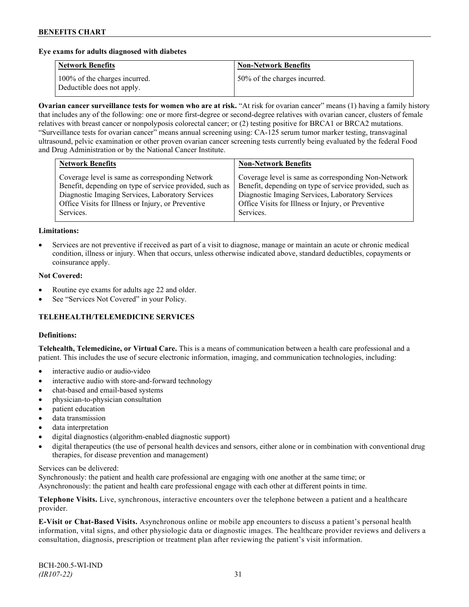## **Eye exams for adults diagnosed with diabetes**

| <b>Network Benefits</b>                                     | <b>Non-Network Benefits</b>  |
|-------------------------------------------------------------|------------------------------|
| 100% of the charges incurred.<br>Deductible does not apply. | 50% of the charges incurred. |

**Ovarian cancer surveillance tests for women who are at risk.** "At risk for ovarian cancer" means (1) having a family history that includes any of the following: one or more first-degree or second-degree relatives with ovarian cancer, clusters of female relatives with breast cancer or nonpolyposis colorectal cancer; or (2) testing positive for BRCA1 or BRCA2 mutations. "Surveillance tests for ovarian cancer" means annual screening using: CA-125 serum tumor marker testing, transvaginal ultrasound, pelvic examination or other proven ovarian cancer screening tests currently being evaluated by the federal Food and Drug Administration or by the National Cancer Institute.

| Coverage level is same as corresponding Network<br>Benefit, depending on type of service provided, such as<br>Diagnostic Imaging Services, Laboratory Services<br>Diagnostic Imaging Services, Laboratory Services<br>Office Visits for Illness or Injury, or Preventive<br>Office Visits for Illness or Injury, or Preventive | <b>Network Benefits</b> | <b>Non-Network Benefits</b>                                                                                                 |
|--------------------------------------------------------------------------------------------------------------------------------------------------------------------------------------------------------------------------------------------------------------------------------------------------------------------------------|-------------------------|-----------------------------------------------------------------------------------------------------------------------------|
|                                                                                                                                                                                                                                                                                                                                | Services.               | Coverage level is same as corresponding Non-Network<br>Benefit, depending on type of service provided, such as<br>Services. |

#### **Limitations:**

• Services are not preventive if received as part of a visit to diagnose, manage or maintain an acute or chronic medical condition, illness or injury. When that occurs, unless otherwise indicated above, standard deductibles, copayments or coinsurance apply.

#### **Not Covered:**

- Routine eye exams for adults age 22 and older.
- See "Services Not Covered" in your Policy.

# **TELEHEALTH/TELEMEDICINE SERVICES**

#### **Definitions:**

**Telehealth, Telemedicine, or Virtual Care.** This is a means of communication between a health care professional and a patient. This includes the use of secure electronic information, imaging, and communication technologies, including:

- interactive audio or audio-video
- interactive audio with store-and-forward technology
- chat-based and email-based systems
- physician-to-physician consultation
- patient education
- data transmission
- data interpretation
- digital diagnostics (algorithm-enabled diagnostic support)
- digital therapeutics (the use of personal health devices and sensors, either alone or in combination with conventional drug therapies, for disease prevention and management)

#### Services can be delivered:

Synchronously: the patient and health care professional are engaging with one another at the same time; or Asynchronously: the patient and health care professional engage with each other at different points in time.

**Telephone Visits.** Live, synchronous, interactive encounters over the telephone between a patient and a healthcare provider.

**E-Visit or Chat-Based Visits.** Asynchronous online or mobile app encounters to discuss a patient's personal health information, vital signs, and other physiologic data or diagnostic images. The healthcare provider reviews and delivers a consultation, diagnosis, prescription or treatment plan after reviewing the patient's visit information.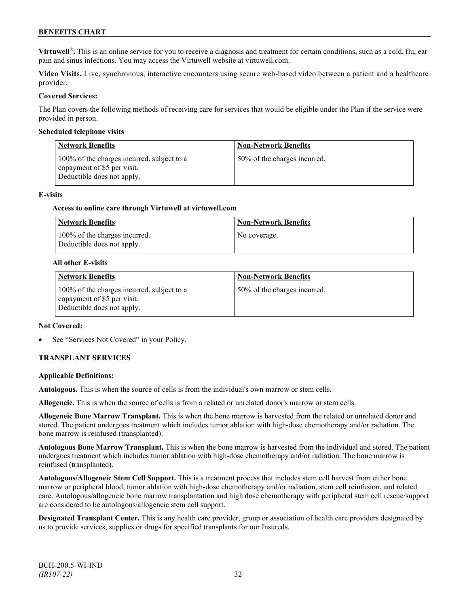**Virtuwell<sup>®</sup>**. This is an online service for you to receive a diagnosis and treatment for certain conditions, such as a cold, flu, ear pain and sinus infections. You may access the Virtuwell website at [virtuwell.com.](https://www.virtuwell.com/)

**Video Visits.** Live, synchronous, interactive encounters using secure web-based video between a patient and a healthcare provider.

## **Covered Services:**

The Plan covers the following methods of receiving care for services that would be eligible under the Plan if the service were provided in person.

#### **Scheduled telephone visits**

| <b>Network Benefits</b>                                                                                 | <b>Non-Network Benefits</b>  |
|---------------------------------------------------------------------------------------------------------|------------------------------|
| 100% of the charges incurred, subject to a<br>copayment of \$5 per visit.<br>Deductible does not apply. | 50% of the charges incurred. |

#### **E-visits**

#### **Access to online care through Virtuwell at [virtuwell.com](http://www.virtuwell.com/)**

| Network Benefits                                            | <b>Non-Network Benefits</b> |
|-------------------------------------------------------------|-----------------------------|
| 100% of the charges incurred.<br>Deductible does not apply. | No coverage.                |

#### **All other E-visits**

| <b>Network Benefits</b>                                                                                 | <b>Non-Network Benefits</b>  |
|---------------------------------------------------------------------------------------------------------|------------------------------|
| 100% of the charges incurred, subject to a<br>copayment of \$5 per visit.<br>Deductible does not apply. | 50% of the charges incurred. |

#### **Not Covered:**

See "Services Not Covered" in your Policy.

## **TRANSPLANT SERVICES**

## **Applicable Definitions:**

**Autologous.** This is when the source of cells is from the individual's own marrow or stem cells.

**Allogeneic.** This is when the source of cells is from a related or unrelated donor's marrow or stem cells.

**Allogeneic Bone Marrow Transplant.** This is when the bone marrow is harvested from the related or unrelated donor and stored. The patient undergoes treatment which includes tumor ablation with high-dose chemotherapy and/or radiation. The bone marrow is reinfused (transplanted).

**Autologous Bone Marrow Transplant.** This is when the bone marrow is harvested from the individual and stored. The patient undergoes treatment which includes tumor ablation with high-dose chemotherapy and/or radiation. The bone marrow is reinfused (transplanted).

**Autologous/Allogeneic Stem Cell Support.** This is a treatment process that includes stem cell harvest from either bone marrow or peripheral blood, tumor ablation with high-dose chemotherapy and/or radiation, stem cell reinfusion, and related care. Autologous/allogeneic bone marrow transplantation and high dose chemotherapy with peripheral stem cell rescue/support are considered to be autologous/allogeneic stem cell support.

**Designated Transplant Center.** This is any health care provider, group or association of health care providers designated by us to provide services, supplies or drugs for specified transplants for our Insureds.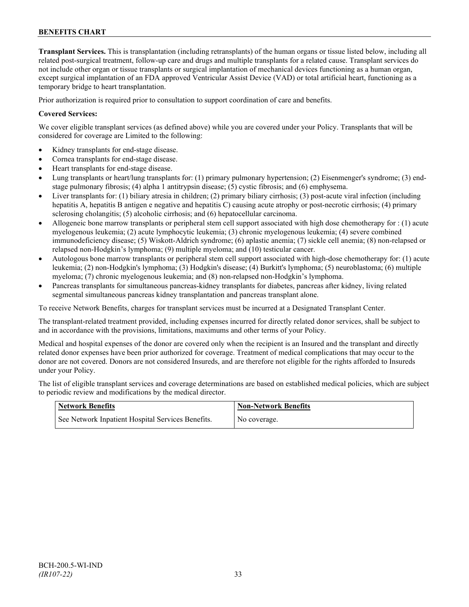**Transplant Services.** This is transplantation (including retransplants) of the human organs or tissue listed below, including all related post-surgical treatment, follow-up care and drugs and multiple transplants for a related cause. Transplant services do not include other organ or tissue transplants or surgical implantation of mechanical devices functioning as a human organ, except surgical implantation of an FDA approved Ventricular Assist Device (VAD) or total artificial heart, functioning as a temporary bridge to heart transplantation.

Prior authorization is required prior to consultation to support coordination of care and benefits.

## **Covered Services:**

We cover eligible transplant services (as defined above) while you are covered under your Policy. Transplants that will be considered for coverage are Limited to the following:

- Kidney transplants for end-stage disease.
- Cornea transplants for end-stage disease.
- Heart transplants for end-stage disease.
- Lung transplants or heart/lung transplants for: (1) primary pulmonary hypertension; (2) Eisenmenger's syndrome; (3) endstage pulmonary fibrosis; (4) alpha 1 antitrypsin disease; (5) cystic fibrosis; and (6) emphysema.
- Liver transplants for: (1) biliary atresia in children; (2) primary biliary cirrhosis; (3) post-acute viral infection (including hepatitis A, hepatitis B antigen e negative and hepatitis C) causing acute atrophy or post-necrotic cirrhosis; (4) primary sclerosing cholangitis; (5) alcoholic cirrhosis; and (6) hepatocellular carcinoma.
- Allogeneic bone marrow transplants or peripheral stem cell support associated with high dose chemotherapy for : (1) acute myelogenous leukemia; (2) acute lymphocytic leukemia; (3) chronic myelogenous leukemia; (4) severe combined immunodeficiency disease; (5) Wiskott-Aldrich syndrome; (6) aplastic anemia; (7) sickle cell anemia; (8) non-relapsed or relapsed non-Hodgkin's lymphoma; (9) multiple myeloma; and (10) testicular cancer.
- Autologous bone marrow transplants or peripheral stem cell support associated with high-dose chemotherapy for: (1) acute leukemia; (2) non-Hodgkin's lymphoma; (3) Hodgkin's disease; (4) Burkitt's lymphoma; (5) neuroblastoma; (6) multiple myeloma; (7) chronic myelogenous leukemia; and (8) non-relapsed non-Hodgkin's lymphoma.
- Pancreas transplants for simultaneous pancreas-kidney transplants for diabetes, pancreas after kidney, living related segmental simultaneous pancreas kidney transplantation and pancreas transplant alone.

To receive Network Benefits, charges for transplant services must be incurred at a Designated Transplant Center.

The transplant-related treatment provided, including expenses incurred for directly related donor services, shall be subject to and in accordance with the provisions, limitations, maximums and other terms of your Policy.

Medical and hospital expenses of the donor are covered only when the recipient is an Insured and the transplant and directly related donor expenses have been prior authorized for coverage. Treatment of medical complications that may occur to the donor are not covered. Donors are not considered Insureds, and are therefore not eligible for the rights afforded to Insureds under your Policy.

The list of eligible transplant services and coverage determinations are based on established medical policies, which are subject to periodic review and modifications by the medical director.

| <b>Network Benefits</b>                           | <b>Non-Network Benefits</b> |
|---------------------------------------------------|-----------------------------|
| See Network Inpatient Hospital Services Benefits. | No coverage.                |